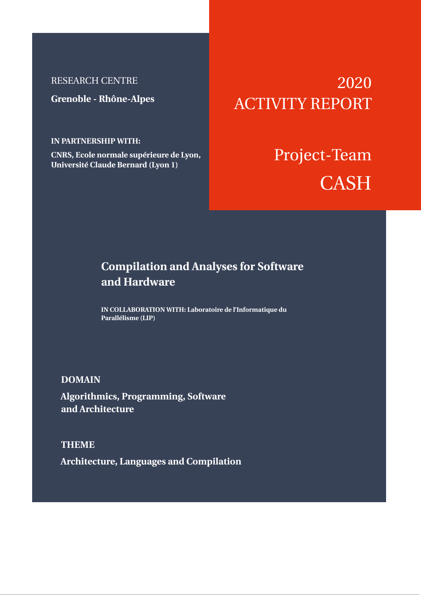## RESEARCH CENTRE

**Grenoble - Rhône-Alpes**

## **IN PARTNERSHIP WITH:**

**CNRS, Ecole normale supérieure de Lyon, Université Claude Bernard (Lyon 1)**

# 2020 ACTIVITY REPORT

# Project-Team **CASH**

## **Compilation and Analyses for Software and Hardware**

**IN COLLABORATION WITH: Laboratoire de l'Informatique du Parallélisme (LIP)**

## **DOMAIN**

**Algorithmics, Programming, Software and Architecture**

**THEME Architecture, Languages and Compilation**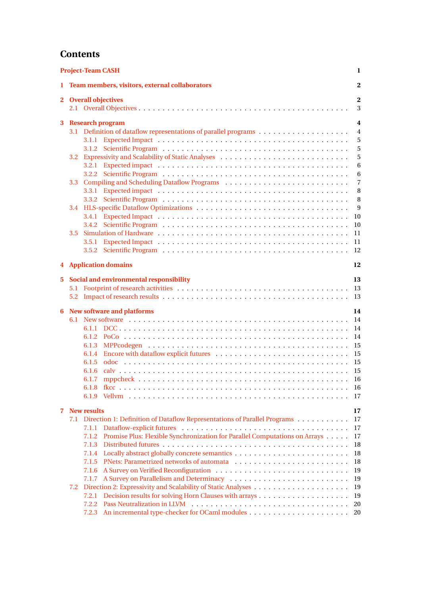## **Contents**

| <b>Project-Team CASH</b><br>1 |                                                |                                                                                     |                |  |  |  |  |  |  |  |
|-------------------------------|------------------------------------------------|-------------------------------------------------------------------------------------|----------------|--|--|--|--|--|--|--|
| 1.                            | Team members, visitors, external collaborators |                                                                                     |                |  |  |  |  |  |  |  |
|                               |                                                | 2 Overall objectives<br>$\mathbf{2}$<br>3                                           |                |  |  |  |  |  |  |  |
| 3                             |                                                | <b>Research program</b>                                                             | 4              |  |  |  |  |  |  |  |
|                               |                                                | 3.1 Definition of dataflow representations of parallel programs<br>$\overline{4}$   |                |  |  |  |  |  |  |  |
|                               |                                                |                                                                                     | 5              |  |  |  |  |  |  |  |
|                               |                                                |                                                                                     | 5              |  |  |  |  |  |  |  |
|                               | 3.2                                            |                                                                                     | 5              |  |  |  |  |  |  |  |
|                               |                                                |                                                                                     | 6              |  |  |  |  |  |  |  |
|                               |                                                |                                                                                     | 6              |  |  |  |  |  |  |  |
|                               | 3.3                                            |                                                                                     | $\overline{7}$ |  |  |  |  |  |  |  |
|                               |                                                |                                                                                     | 8              |  |  |  |  |  |  |  |
|                               |                                                |                                                                                     | 8              |  |  |  |  |  |  |  |
|                               | 3.4                                            |                                                                                     | 9              |  |  |  |  |  |  |  |
|                               |                                                |                                                                                     | 10             |  |  |  |  |  |  |  |
|                               |                                                |                                                                                     | 10             |  |  |  |  |  |  |  |
|                               | 3.5                                            | 3.5.1                                                                               | 11<br>11       |  |  |  |  |  |  |  |
|                               |                                                |                                                                                     | 12             |  |  |  |  |  |  |  |
| 4                             |                                                | <b>Application domains</b>                                                          | 12             |  |  |  |  |  |  |  |
|                               |                                                |                                                                                     |                |  |  |  |  |  |  |  |
| 5.                            |                                                | Social and environmental responsibility<br>13<br>13<br>13                           |                |  |  |  |  |  |  |  |
| 6                             |                                                | <b>New software and platforms</b><br>14                                             |                |  |  |  |  |  |  |  |
|                               |                                                | 14                                                                                  |                |  |  |  |  |  |  |  |
|                               |                                                |                                                                                     | 14             |  |  |  |  |  |  |  |
|                               |                                                |                                                                                     | 14             |  |  |  |  |  |  |  |
|                               |                                                | 6.1.3                                                                               | 15             |  |  |  |  |  |  |  |
|                               |                                                | 6.1.4                                                                               | 15             |  |  |  |  |  |  |  |
|                               |                                                | 6.1.5                                                                               | 15             |  |  |  |  |  |  |  |
|                               |                                                | 6.1.6                                                                               | 15             |  |  |  |  |  |  |  |
|                               |                                                | 6.1.7                                                                               |                |  |  |  |  |  |  |  |
|                               |                                                |                                                                                     | -16<br>17      |  |  |  |  |  |  |  |
|                               |                                                |                                                                                     |                |  |  |  |  |  |  |  |
| 7                             | <b>New results</b>                             |                                                                                     |                |  |  |  |  |  |  |  |
|                               |                                                | 7.1 Direction 1: Definition of Dataflow Representations of Parallel Programs        | 17             |  |  |  |  |  |  |  |
|                               |                                                | 7.1.1                                                                               | 17             |  |  |  |  |  |  |  |
|                               |                                                | Promise Plus: Flexible Synchronization for Parallel Computations on Arrays<br>7.1.2 | 17             |  |  |  |  |  |  |  |
|                               |                                                | 7.1.3                                                                               | 18             |  |  |  |  |  |  |  |
|                               |                                                |                                                                                     | 18             |  |  |  |  |  |  |  |
|                               |                                                |                                                                                     | 18             |  |  |  |  |  |  |  |
|                               |                                                |                                                                                     | 19             |  |  |  |  |  |  |  |
|                               |                                                |                                                                                     |                |  |  |  |  |  |  |  |
|                               |                                                |                                                                                     |                |  |  |  |  |  |  |  |
|                               |                                                |                                                                                     | 20             |  |  |  |  |  |  |  |
|                               |                                                | 7.2.3                                                                               | 20             |  |  |  |  |  |  |  |
|                               | 7.2                                            | 7.1.4<br>7.1.5<br>7.1.6<br>7.1.7<br>7.2.1<br>7.2.2                                  | 19<br>19<br>19 |  |  |  |  |  |  |  |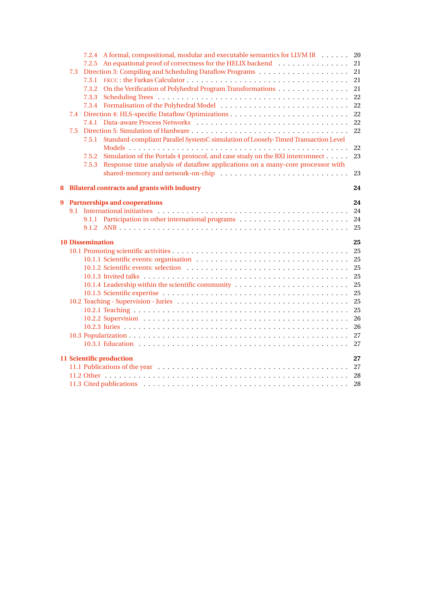|       |     | 7.2.4 A formal, compositional, modular and executable semantics for LLVM IR                | 20       |  |  |  |  |  |
|-------|-----|--------------------------------------------------------------------------------------------|----------|--|--|--|--|--|
|       |     | An equational proof of correctness for the HELIX backend<br>7.2.5                          | 21       |  |  |  |  |  |
| 7.3   |     |                                                                                            |          |  |  |  |  |  |
| 7.3.1 |     |                                                                                            |          |  |  |  |  |  |
|       |     | On the Verification of Polyhedral Program Transformations<br>7.3.2                         | 21       |  |  |  |  |  |
|       |     | 7.3.3                                                                                      | 22       |  |  |  |  |  |
|       |     | 7.3.4                                                                                      | 22       |  |  |  |  |  |
|       | 7.4 |                                                                                            |          |  |  |  |  |  |
| 7.4.1 |     |                                                                                            |          |  |  |  |  |  |
|       | 7.5 |                                                                                            | 22       |  |  |  |  |  |
|       |     | Standard-compliant Parallel SystemC simulation of Loosely-Timed Transaction Level<br>7.5.1 |          |  |  |  |  |  |
|       |     |                                                                                            | 22       |  |  |  |  |  |
|       |     | Simulation of the Portals 4 protocol, and case study on the BXI interconnect<br>7.5.2      | 23       |  |  |  |  |  |
|       |     | Response time analysis of dataflow applications on a many-core processor with<br>7.5.3     |          |  |  |  |  |  |
|       |     |                                                                                            | 23       |  |  |  |  |  |
| 8     |     | <b>Bilateral contracts and grants with industry</b>                                        | 24       |  |  |  |  |  |
| 9     |     | <b>Partnerships and cooperations</b><br>24                                                 |          |  |  |  |  |  |
|       | 9.1 |                                                                                            | 24       |  |  |  |  |  |
|       |     | 9.1.1                                                                                      | 24       |  |  |  |  |  |
|       |     |                                                                                            | 25       |  |  |  |  |  |
|       |     | <b>10 Dissemination</b>                                                                    | 25       |  |  |  |  |  |
|       |     |                                                                                            | 25       |  |  |  |  |  |
|       |     |                                                                                            | 25       |  |  |  |  |  |
|       |     |                                                                                            | 25       |  |  |  |  |  |
|       |     |                                                                                            | 25       |  |  |  |  |  |
|       |     | 10.1.4 Leadership within the scientific community                                          | 25       |  |  |  |  |  |
|       |     |                                                                                            | 25       |  |  |  |  |  |
|       |     |                                                                                            | 25       |  |  |  |  |  |
|       |     |                                                                                            | 25       |  |  |  |  |  |
|       |     |                                                                                            | 26       |  |  |  |  |  |
|       |     |                                                                                            |          |  |  |  |  |  |
|       |     |                                                                                            | 26       |  |  |  |  |  |
|       |     |                                                                                            | 27       |  |  |  |  |  |
|       |     |                                                                                            | 27       |  |  |  |  |  |
|       |     | 11 Scientific production                                                                   | 27       |  |  |  |  |  |
|       |     |                                                                                            | 27       |  |  |  |  |  |
|       |     |                                                                                            | 28<br>28 |  |  |  |  |  |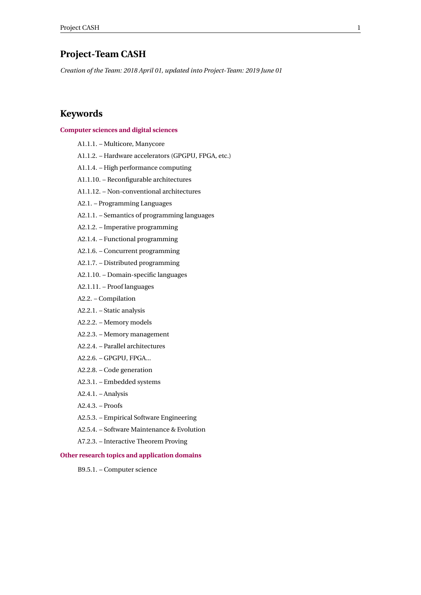## <span id="page-3-0"></span>**Project-Team CASH**

*Creation of the Team: 2018 April 01, updated into Project-Team: 2019 June 01*

## **Keywords**

#### **[Computer sciences and digital sciences](https://raweb.inria.fr/rapportsactivite/RA2020/static/keywords/ComputerScienceandDigitalScience.html)**

B9.5.1. – Computer science

A1.1.1. – Multicore, Manycore A1.1.2. – Hardware accelerators (GPGPU, FPGA, etc.) A1.1.4. – High performance computing A1.1.10. – Reconfigurable architectures A1.1.12. – Non-conventional architectures A2.1. – Programming Languages A2.1.1. – Semantics of programming languages A2.1.2. – Imperative programming A2.1.4. – Functional programming A2.1.6. – Concurrent programming A2.1.7. – Distributed programming A2.1.10. – Domain-specific languages A2.1.11. – Proof languages A2.2. – Compilation A2.2.1. – Static analysis A2.2.2. – Memory models A2.2.3. – Memory management A2.2.4. – Parallel architectures A2.2.6. – GPGPU, FPGA... A2.2.8. – Code generation A2.3.1. – Embedded systems A2.4.1. – Analysis A2.4.3. – Proofs A2.5.3. – Empirical Software Engineering A2.5.4. – Software Maintenance & Evolution A7.2.3. – Interactive Theorem Proving **[Other research topics and application domains](https://raweb.inria.fr/rapportsactivite/RA2020/static/keywords/OtherResearchTopicsandApplicationDomains.html)**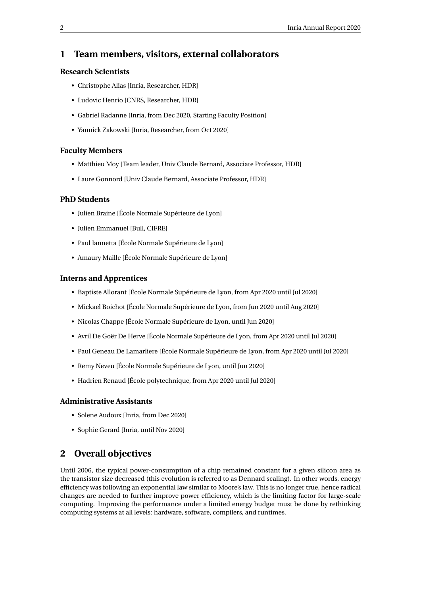## <span id="page-4-0"></span>**1 Team members, visitors, external collaborators**

## **Research Scientists**

- Christophe Alias [Inria, Researcher, HDR]
- Ludovic Henrio [CNRS, Researcher, HDR]
- Gabriel Radanne [Inria, from Dec 2020, Starting Faculty Position]
- Yannick Zakowski [Inria, Researcher, from Oct 2020]

#### **Faculty Members**

- Matthieu Moy [Team leader, Univ Claude Bernard, Associate Professor, HDR]
- Laure Gonnord [Univ Claude Bernard, Associate Professor, HDR]

#### **PhD Students**

- Julien Braine [École Normale Supérieure de Lyon]
- Julien Emmanuel [Bull, CIFRE]
- Paul Iannetta [École Normale Supérieure de Lyon]
- Amaury Maille [École Normale Supérieure de Lyon]

#### **Interns and Apprentices**

- Baptiste Allorant [École Normale Supérieure de Lyon, from Apr 2020 until Jul 2020]
- Mickael Boichot [École Normale Supérieure de Lyon, from Jun 2020 until Aug 2020]
- Nicolas Chappe [École Normale Supérieure de Lyon, until Jun 2020]
- Avril De Goër De Herve [École Normale Supérieure de Lyon, from Apr 2020 until Jul 2020]
- Paul Geneau De Lamarliere [École Normale Supérieure de Lyon, from Apr 2020 until Jul 2020]
- Remy Neveu [École Normale Supérieure de Lyon, until Jun 2020]
- Hadrien Renaud [École polytechnique, from Apr 2020 until Jul 2020]

#### **Administrative Assistants**

- Solene Audoux [Inria, from Dec 2020]
- Sophie Gerard [Inria, until Nov 2020]

## <span id="page-4-1"></span>**2 Overall objectives**

Until 2006, the typical power-consumption of a chip remained constant for a given silicon area as the transistor size decreased (this evolution is referred to as Dennard scaling). In other words, energy efficiency was following an exponential law similar to Moore's law. This is no longer true, hence radical changes are needed to further improve power efficiency, which is the limiting factor for large-scale computing. Improving the performance under a limited energy budget must be done by rethinking computing systems at all levels: hardware, software, compilers, and runtimes.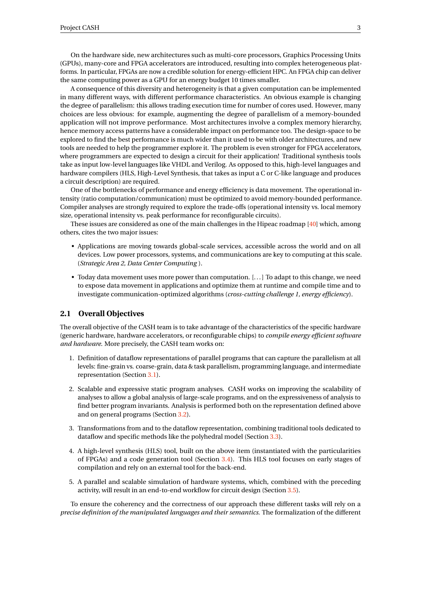On the hardware side, new architectures such as multi-core processors, Graphics Processing Units (GPUs), many-core and FPGA accelerators are introduced, resulting into complex heterogeneous platforms. In particular, FPGAs are now a credible solution for energy-efficient HPC. An FPGA chip can deliver the same computing power as a GPU for an energy budget 10 times smaller.

A consequence of this diversity and heterogeneity is that a given computation can be implemented in many different ways, with different performance characteristics. An obvious example is changing the degree of parallelism: this allows trading execution time for number of cores used. However, many choices are less obvious: for example, augmenting the degree of parallelism of a memory-bounded application will not improve performance. Most architectures involve a complex memory hierarchy, hence memory access patterns have a considerable impact on performance too. The design-space to be explored to find the best performance is much wider than it used to be with older architectures, and new tools are needed to help the programmer explore it. The problem is even stronger for FPGA accelerators, where programmers are expected to design a circuit for their application! Traditional synthesis tools take as input low-level languages like VHDL and Verilog. As opposed to this, high-level languages and hardware compilers (HLS, High-Level Synthesis, that takes as input a C or C-like language and produces a circuit description) are required.

One of the bottlenecks of performance and energy efficiency is data movement. The operational intensity (ratio computation/communication) must be optimized to avoid memory-bounded performance. Compiler analyses are strongly required to explore the trade-offs (operational intensity vs. local memory size, operational intensity vs. peak performance for reconfigurable circuits).

These issues are considered as one of the main challenges in the Hipeac roadmap [\[40\]](#page-32-0) which, among others, cites the two major issues:

- Applications are moving towards global-scale services, accessible across the world and on all devices. Low power processors, systems, and communications are key to computing at this scale. (*Strategic Area 2, Data Center Computing* ).
- Today data movement uses more power than computation. [. . . ] To adapt to this change, we need to expose data movement in applications and optimize them at runtime and compile time and to investigate communication-optimized algorithms (*cross-cutting challenge 1, energy efficiency*).

#### <span id="page-5-0"></span>**2.1 Overall Objectives**

The overall objective of the CASH team is to take advantage of the characteristics of the specific hardware (generic hardware, hardware accelerators, or reconfigurable chips) to *compile energy efficient software and hardware*. More precisely, the CASH team works on:

- 1. Definition of dataflow representations of parallel programs that can capture the parallelism at all levels: fine-grain vs. coarse-grain, data & task parallelism, programming language, and intermediate representation (Section [3.1\)](#page-6-1).
- 2. Scalable and expressive static program analyses. CASH works on improving the scalability of analyses to allow a global analysis of large-scale programs, and on the expressiveness of analysis to find better program invariants. Analysis is performed both on the representation defined above and on general programs (Section [3.2\)](#page-7-2).
- 3. Transformations from and to the dataflow representation, combining traditional tools dedicated to dataflow and specific methods like the polyhedral model (Section [3.3\)](#page-9-0).
- 4. A high-level synthesis (HLS) tool, built on the above item (instantiated with the particularities of FPGAs) and a code generation tool (Section [3.4\)](#page-11-0). This HLS tool focuses on early stages of compilation and rely on an external tool for the back-end.
- 5. A parallel and scalable simulation of hardware systems, which, combined with the preceding activity, will result in an end-to-end workflow for circuit design (Section [3.5\)](#page-13-0).

To ensure the coherency and the correctness of our approach these different tasks will rely on a *precise definition of the manipulated languages and their semantics*. The formalization of the different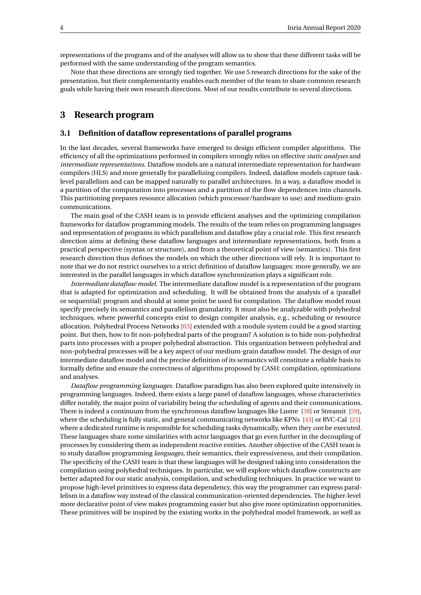representations of the programs and of the analyses will allow us to show that these different tasks will be performed with the same understanding of the program semantics.

Note that these directions are strongly tied together. We use 5 research directions for the sake of the presentation, but their complementarity enables each member of the team to share common research goals while having their own research directions. Most of our results contribute to several directions.

## <span id="page-6-0"></span>**3 Research program**

#### <span id="page-6-1"></span>**3.1 Definition of dataflow representations of parallel programs**

In the last decades, several frameworks have emerged to design efficient compiler algorithms. The efficiency of all the optimizations performed in compilers strongly relies on effective *static analyses* and *intermediate representations*. Dataflow models are a natural intermediate representation for hardware compilers (HLS) and more generally for parallelizing compilers. Indeed, dataflow models capture tasklevel parallelism and can be mapped naturally to parallel architectures. In a way, a dataflow model is a partition of the computation into processes and a partition of the flow dependences into channels. This partitioning prepares resource allocation (which processor/hardware to use) and medium-grain communications.

The main goal of the CASH team is to provide efficient analyses and the optimizing compilation frameworks for dataflow programming models. The results of the team relies on programming languages and representation of programs in which parallelism and dataflow play a crucial role. This first research direction aims at defining these dataflow languages and intermediate representations, both from a practical perspective (syntax or structure), and from a theoretical point of view (semantics). This first research direction thus defines the models on which the other directions will rely. It is important to note that we do not restrict ourselves to a strict definition of dataflow languages: more generally, we are interested in the parallel languages in which dataflow synchronization plays a significant role.

*Intermediate dataflow model.* The intermediate dataflow model is a representation of the program that is adapted for optimization and scheduling. It will be obtained from the analysis of a (parallel or sequential) program and should at some point be used for compilation. The dataflow model must specify precisely its semantics and parallelism granularity. It must also be analyzable with polyhedral techniques, where powerful concepts exist to design compiler analysis, e.g., scheduling or resource allocation. Polyhedral Process Networks [\[63\]](#page-33-0) extended with a module system could be a good starting point. But then, how to fit non-polyhedral parts of the program? A solution is to hide non-polyhedral parts into processes with a proper polyhedral abstraction. This organization between polyhedral and non-polyhedral processes will be a key aspect of our medium-grain dataflow model. The design of our intermediate dataflow model and the precise definition of its semantics will constitute a reliable basis to formally define and ensure the correctness of algorithms proposed by CASH: compilation, optimizations and analyses.

*Dataflow programming languages.* Dataflow paradigm has also been explored quite intensively in programming languages. Indeed, there exists a large panel of dataflow languages, whose characteristics differ notably, the major point of variability being the scheduling of agents and their communications. There is indeed a continuum from the synchronous dataflow languages like Lustre [\[38\]](#page-32-1) or Streamit [\[59\]](#page-33-1), where the scheduling is fully static, and general communicating networks like KPNs [\[43\]](#page-32-2) or RVC-Cal [\[21\]](#page-31-0) where a dedicated runtime is responsible for scheduling tasks dynamically, when they *can* be executed. These languages share some similarities with actor languages that go even further in the decoupling of processes by considering them as independent reactive entities. Another objective of the CASH team is to study dataflow programming *languages*, their semantics, their expressiveness, and their compilation. The specificity of the CASH team is that these languages will be designed taking into consideration the compilation using polyhedral techniques. In particular, we will explore which dataflow constructs are better adapted for our static analysis, compilation, and scheduling techniques. In practice we want to propose high-level primitives to express data dependency, this way the programmer can express parallelism in a dataflow way instead of the classical communication-oriented dependencies. The higher-level more declarative point of view makes programming easier but also give more optimization opportunities. These primitives will be inspired by the existing works in the polyhedral model framework, as well as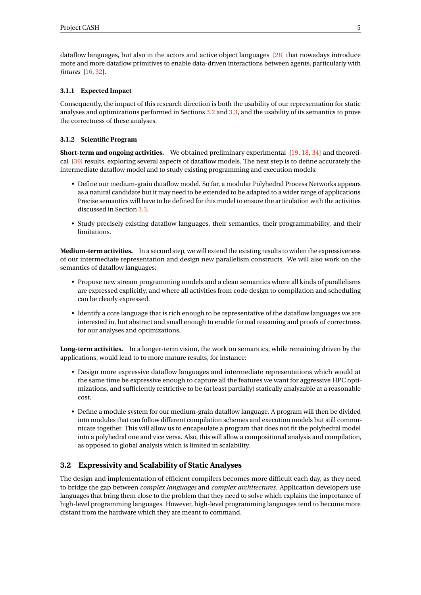dataflow languages, but also in the actors and active object languages [\[28\]](#page-31-1) that nowadays introduce more and more dataflow primitives to enable data-driven interactions between agents, particularly with *futures* [\[16,](#page-30-2) [32\]](#page-31-2).

#### <span id="page-7-0"></span>**3.1.1 Expected Impact**

Consequently, the impact of this research direction is both the usability of our representation for static analyses and optimizations performed in Sections [3.2](#page-7-2) and [3.3,](#page-9-0) and the usability of its semantics to prove the correctness of these analyses.

#### <span id="page-7-1"></span>**3.1.2 Scientific Program**

**Short-term and ongoing activities.** We obtained preliminary experimental [\[19,](#page-31-3) [18,](#page-30-3) [34\]](#page-32-3) and theoretical [\[39\]](#page-32-4) results, exploring several aspects of dataflow models. The next step is to define accurately the intermediate dataflow model and to study existing programming and execution models:

- Define our medium-grain dataflow model. So far, a modular Polyhedral Process Networks appears as a natural candidate but it may need to be extended to be adapted to a wider range of applications. Precise semantics will have to be defined for this model to ensure the articulation with the activities discussed in Section [3.3.](#page-9-0)
- Study precisely existing dataflow languages, their semantics, their programmability, and their **limitations**

**Medium-term activities.** In a second step, we will extend the existing results to widen the expressiveness of our intermediate representation and design new parallelism constructs. We will also work on the semantics of dataflow languages:

- Propose new stream programming models and a clean semantics where all kinds of parallelisms are expressed explicitly, and where all activities from code design to compilation and scheduling can be clearly expressed.
- Identify a core language that is rich enough to be representative of the dataflow languages we are interested in, but abstract and small enough to enable formal reasoning and proofs of correctness for our analyses and optimizations.

Long-term activities. In a longer-term vision, the work on semantics, while remaining driven by the applications, would lead to to more mature results, for instance:

- Design more expressive dataflow languages and intermediate representations which would at the same time be expressive enough to capture all the features we want for aggressive HPC optimizations, and sufficiently restrictive to be (at least partially) statically analyzable at a reasonable cost.
- Define a module system for our medium-grain dataflow language. A program will then be divided into modules that can follow different compilation schemes and execution models but still communicate together. This will allow us to encapsulate a program that does not fit the polyhedral model into a polyhedral one and vice versa. Also, this will allow a compositional analysis and compilation, as opposed to global analysis which is limited in scalability.

## <span id="page-7-2"></span>**3.2 Expressivity and Scalability of Static Analyses**

The design and implementation of efficient compilers becomes more difficult each day, as they need to bridge the gap between *complex languages* and *complex architectures*. Application developers use languages that bring them close to the problem that they need to solve which explains the importance of high-level programming languages. However, high-level programming languages tend to become more distant from the hardware which they are meant to command.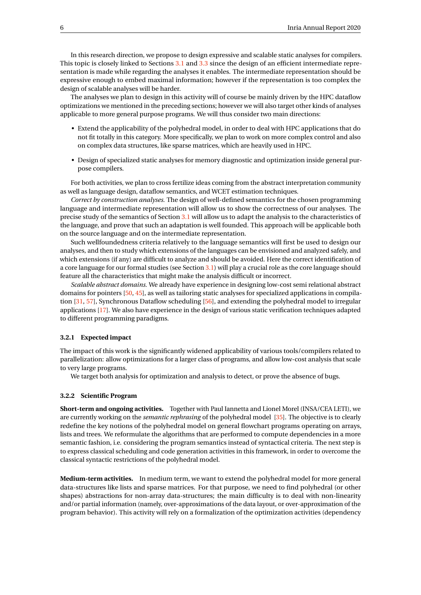In this research direction, we propose to design expressive and scalable static analyses for compilers. This topic is closely linked to Sections [3.1](#page-6-1) and [3.3](#page-9-0) since the design of an efficient intermediate representation is made while regarding the analyses it enables. The intermediate representation should be expressive enough to embed maximal information; however if the representation is too complex the design of scalable analyses will be harder.

The analyses we plan to design in this activity will of course be mainly driven by the HPC dataflow optimizations we mentioned in the preceding sections; however we will also target other kinds of analyses applicable to more general purpose programs. We will thus consider two main directions:

- Extend the applicability of the polyhedral model, in order to deal with HPC applications that do not fit totally in this category. More specifically, we plan to work on more complex control and also on complex data structures, like sparse matrices, which are heavily used in HPC.
- Design of specialized static analyses for memory diagnostic and optimization inside general purpose compilers.

For both activities, we plan to cross fertilize ideas coming from the abstract interpretation community as well as language design, dataflow semantics, and WCET estimation techniques.

*Correct by construction analyses.* The design of well-defined semantics for the chosen programming language and intermediate representation will allow us to show the correctness of our analyses. The precise study of the semantics of Section [3.1](#page-6-1) will allow us to adapt the analysis to the characteristics of the language, and prove that such an adaptation is well founded. This approach will be applicable both on the source language and on the intermediate representation.

Such wellfoundedness criteria relatively to the language semantics will first be used to design our analyses, and then to study which extensions of the languages can be envisioned and analyzed safely, and which extensions (if any) are difficult to analyze and should be avoided. Here the correct identification of a core language for our formal studies (see Section [3.1\)](#page-6-1) will play a crucial role as the core language should feature all the characteristics that might make the analysis difficult or incorrect.

*Scalable abstract domains.* We already have experience in designing low-cost semi relational abstract domains for pointers [\[50,](#page-32-5) [45\]](#page-32-6), as well as tailoring static analyses for specialized applications in compila-tion [\[31,](#page-31-4) [57\]](#page-33-2), Synchronous Dataflow scheduling [\[56\]](#page-33-3), and extending the polyhedral model to irregular applications [\[17\]](#page-30-4). We also have experience in the design of various static verification techniques adapted to different programming paradigms.

#### <span id="page-8-0"></span>**3.2.1 Expected impact**

The impact of this work is the significantly widened applicability of various tools/compilers related to parallelization: allow optimizations for a larger class of programs, and allow low-cost analysis that scale to very large programs.

We target both analysis for optimization and analysis to detect, or prove the absence of bugs.

#### <span id="page-8-1"></span>**3.2.2 Scientific Program**

**Short-term and ongoing activities.** Together with Paul Iannetta and Lionel Morel (INSA/CEA LETI), we are currently working on the *semantic rephrasing* of the polyhedral model [\[35\]](#page-32-7). The objective is to clearly redefine the key notions of the polyhedral model on general flowchart programs operating on arrays, lists and trees. We reformulate the algorithms that are performed to compute dependencies in a more semantic fashion, i.e. considering the program semantics instead of syntactical criteria. The next step is to express classical scheduling and code generation activities in this framework, in order to overcome the classical syntactic restrictions of the polyhedral model.

**Medium-term activities.** In medium term, we want to extend the polyhedral model for more general data-structures like lists and sparse matrices. For that purpose, we need to find polyhedral (or other shapes) abstractions for non-array data-structures; the main difficulty is to deal with non-linearity and/or partial information (namely, over-approximations of the data layout, or over-approximation of the program behavior). This activity will rely on a formalization of the optimization activities (dependency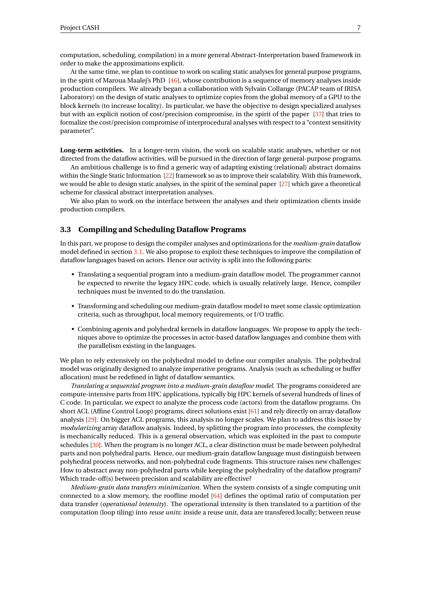computation, scheduling, compilation) in a more general Abstract-Interpretation based framework in order to make the approximations explicit.

At the same time, we plan to continue to work on scaling static analyses for general purpose programs, in the spirit of Maroua Maalej's PhD [\[46\]](#page-32-8), whose contribution is a sequence of memory analyses inside production compilers. We already began a collaboration with Sylvain Collange (PACAP team of IRISA Laboratory) on the design of static analyses to optimize copies from the global memory of a GPU to the block kernels (to increase locality). In particular, we have the objective to design specialized analyses but with an explicit notion of cost/precision compromise, in the spirit of the paper [\[37\]](#page-32-9) that tries to formalize the cost/precision compromise of interprocedural analyses with respect to a "context sensitivity parameter".

**Long-term activities.** In a longer-term vision, the work on scalable static analyses, whether or not directed from the dataflow activities, will be pursued in the direction of large general-purpose programs.

An ambitious challenge is to find a generic way of adapting existing (relational) abstract domains within the Single Static Information [\[22\]](#page-31-5) framework so as to improve their scalability. With this framework, we would be able to design static analyses, in the spirit of the seminal paper [\[27\]](#page-31-6) which gave a theoretical scheme for classical abstract interpretation analyses.

We also plan to work on the interface between the analyses and their optimization clients inside production compilers.

#### <span id="page-9-0"></span>**3.3 Compiling and Scheduling Dataflow Programs**

In this part, we propose to design the compiler analyses and optimizations for the *medium-grain* dataflow model defined in section [3.1.](#page-6-1) We also propose to exploit these techniques to improve the compilation of dataflow languages based on actors. Hence our activity is split into the following parts:

- Translating a sequential program into a medium-grain dataflow model. The programmer cannot be expected to rewrite the legacy HPC code, which is usually relatively large. Hence, compiler techniques must be invented to do the translation.
- Transforming and scheduling our medium-grain dataflow model to meet some classic optimization criteria, such as throughput, local memory requirements, or I/O traffic.
- Combining agents and polyhedral kernels in dataflow languages. We propose to apply the techniques above to optimize the processes in actor-based dataflow languages and combine them with the parallelism existing in the languages.

We plan to rely extensively on the polyhedral model to define our compiler analysis. The polyhedral model was originally designed to analyze imperative programs. Analysis (such as scheduling or buffer allocation) must be redefined in light of dataflow semantics.

*Translating a sequential program into a medium-grain dataflow model.* The programs considered are compute-intensive parts from HPC applications, typically big HPC kernels of several hundreds of lines of C code. In particular, we expect to analyze the process code (actors) from the dataflow programs. On short ACL (Affine Control Loop) programs, direct solutions exist [\[61\]](#page-33-4) and rely directly on array dataflow analysis [\[29\]](#page-31-7). On bigger ACL programs, this analysis no longer scales. We plan to address this issue by *modularizing* array dataflow analysis. Indeed, by splitting the program into processes, the complexity is mechanically reduced. This is a general observation, which was exploited in the past to compute schedules [\[30\]](#page-31-8). When the program is no longer ACL, a clear distinction must be made between polyhedral parts and non polyhedral parts. Hence, our medium-grain dataflow language must distinguish between polyhedral process networks, and non-polyhedral code fragments. This structure raises new challenges: How to abstract away non-polyhedral parts while keeping the polyhedrality of the dataflow program? Which trade-off(s) between precision and scalability are effective?

*Medium-grain data transfers minimization.* When the system consists of a single computing unit connected to a slow memory, the roofline model [\[64\]](#page-33-5) defines the optimal ratio of computation per data transfer (*operational intensity*). The operational intensity is then translated to a partition of the computation (loop tiling) into *reuse units*: inside a reuse unit, data are transfered locally; between reuse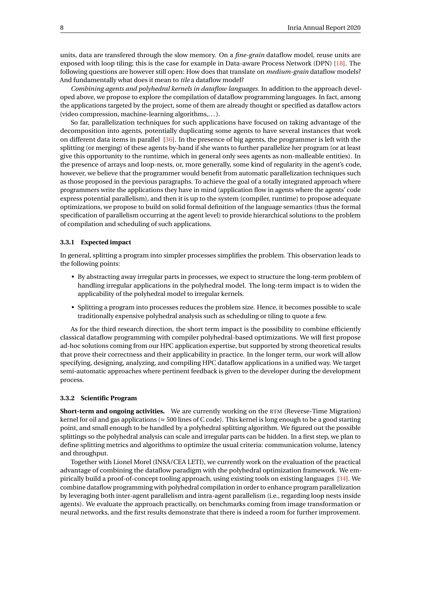units, data are transfered through the slow memory. On a *fine-grain* dataflow model, reuse units are exposed with loop tiling; this is the case for example in Data-aware Process Network (DPN) [\[18\]](#page-30-3). The following questions are however still open: How does that translate on *medium-grain* dataflow models? And fundamentally what does it mean to *tile* a dataflow model?

*Combining agents and polyhedral kernels in dataflow languages.* In addition to the approach developed above, we propose to explore the compilation of dataflow programming languages. In fact, among the applications targeted by the project, some of them are already thought or specified as dataflow actors (video compression, machine-learning algorithms,. . . ).

So far, parallelization techniques for such applications have focused on taking advantage of the decomposition into agents, potentially duplicating some agents to have several instances that work on different data items in parallel [\[36\]](#page-32-10). In the presence of big agents, the programmer is left with the splitting (or merging) of these agents by-hand if she wants to further parallelize her program (or at least give this opportunity to the runtime, which in general only sees agents as non-malleable entities). In the presence of arrays and loop-nests, or, more generally, some kind of regularity in the agent's code, however, we believe that the programmer would benefit from automatic parallelization techniques such as those proposed in the previous paragraphs. To achieve the goal of a totally integrated approach where programmers write the applications they have in mind (application flow in agents where the agents' code express potential parallelism), and then it is up to the system (compiler, runtime) to propose adequate optimizations, we propose to build on solid formal definition of the language semantics (thus the formal specification of parallelism occurring at the agent level) to provide hierarchical solutions to the problem of compilation and scheduling of such applications.

#### <span id="page-10-0"></span>**3.3.1 Expected impact**

In general, splitting a program into simpler processes simplifies the problem. This observation leads to the following points:

- By abstracting away irregular parts in processes, we expect to structure the long-term problem of handling irregular applications in the polyhedral model. The long-term impact is to widen the applicability of the polyhedral model to irregular kernels.
- Splitting a program into processes reduces the problem size. Hence, it becomes possible to scale traditionally expensive polyhedral analysis such as scheduling or tiling to quote a few.

As for the third research direction, the short term impact is the possibility to combine efficiently classical dataflow programming with compiler polyhedral-based optimizations. We will first propose ad-hoc solutions coming from our HPC application expertise, but supported by strong theoretical results that prove their correctness and their applicability in practice. In the longer term, our work will allow specifying, designing, analyzing, and compiling HPC dataflow applications in a unified way. We target semi-automatic approaches where pertinent feedback is given to the developer during the development process.

#### <span id="page-10-1"></span>**3.3.2 Scientific Program**

**Short-term and ongoing activities.** We are currently working on the RTM (Reverse-Time Migration) kernel for oil and gas applications ( $\approx$  500 lines of C code). This kernel is long enough to be a good starting point, and small enough to be handled by a polyhedral splitting algorithm. We figured out the possible splittings so the polyhedral analysis can scale and irregular parts can be hidden. In a first step, we plan to define splitting metrics and algorithms to optimize the usual criteria: communication volume, latency and throughput.

Together with Lionel Morel (INSA/CEA LETI), we currently work on the evaluation of the practical advantage of combining the dataflow paradigm with the polyhedral optimization framework. We empirically build a proof-of-concept tooling approach, using existing tools on existing languages [\[34\]](#page-32-3). We combine dataflow programming with polyhedral compilation in order to enhance program parallelization by leveraging both inter-agent parallelism and intra-agent parallelism (i.e., regarding loop nests inside agents). We evaluate the approach practically, on benchmarks coming from image transformation or neural networks, and the first results demonstrate that there is indeed a room for further improvement.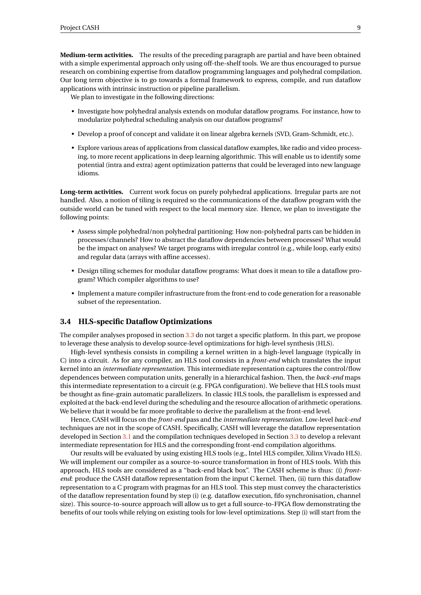**Medium-term activities.** The results of the preceding paragraph are partial and have been obtained with a simple experimental approach only using off-the-shelf tools. We are thus encouraged to pursue research on combining expertise from dataflow programming languages and polyhedral compilation. Our long term objective is to go towards a formal framework to express, compile, and run dataflow applications with intrinsic instruction or pipeline parallelism.

We plan to investigate in the following directions:

- Investigate how polyhedral analysis extends on modular dataflow programs. For instance, how to modularize polyhedral scheduling analysis on our dataflow programs?
- Develop a proof of concept and validate it on linear algebra kernels (SVD, Gram-Schmidt, etc.).
- Explore various areas of applications from classical dataflow examples, like radio and video processing, to more recent applications in deep learning algorithmic. This will enable us to identify some potential (intra and extra) agent optimization patterns that could be leveraged into new language idioms.

**Long-term activities.** Current work focus on purely polyhedral applications. Irregular parts are not handled. Also, a notion of tiling is required so the communications of the dataflow program with the outside world can be tuned with respect to the local memory size. Hence, we plan to investigate the following points:

- Assess simple polyhedral/non polyhedral partitioning: How non-polyhedral parts can be hidden in processes/channels? How to abstract the dataflow dependencies between processes? What would be the impact on analyses? We target programs with irregular control (e.g., while loop, early exits) and regular data (arrays with affine accesses).
- Design tiling schemes for modular dataflow programs: What does it mean to tile a dataflow program? Which compiler algorithms to use?
- Implement a mature compiler infrastructure from the front-end to code generation for a reasonable subset of the representation.

#### <span id="page-11-0"></span>**3.4 HLS-specific Dataflow Optimizations**

The compiler analyses proposed in section [3.3](#page-9-0) do not target a specific platform. In this part, we propose to leverage these analysis to develop source-level optimizations for high-level synthesis (HLS).

High-level synthesis consists in compiling a kernel written in a high-level language (typically in C) into a circuit. As for any compiler, an HLS tool consists in a *front-end* which translates the input kernel into an *intermediate representation*. This intermediate representation captures the control/flow dependences between computation units, generally in a hierarchical fashion. Then, the *back-end* maps this intermediate representation to a circuit (e.g. FPGA configuration). We believe that HLS tools must be thought as fine-grain automatic parallelizers. In classic HLS tools, the parallelism is expressed and exploited at the back-end level during the scheduling and the resource allocation of arithmetic operations. We believe that it would be far more profitable to derive the parallelism at the front-end level.

Hence, CASH will focus on the *front-end* pass and the *intermediate representation*. Low-level *back-end* techniques are not in the scope of CASH. Specifically, CASH will leverage the dataflow representation developed in Section [3.1](#page-6-1) and the compilation techniques developed in Section [3.3](#page-9-0) to develop a relevant intermediate representation for HLS and the corresponding front-end compilation algorithms.

Our results will be evaluated by using existing HLS tools (e.g., Intel HLS compiler, Xilinx Vivado HLS). We will implement our compiler as a source-to-source transformation in front of HLS tools. With this approach, HLS tools are considered as a "back-end black box". The CASH scheme is thus: (i) *frontend*: produce the CASH dataflow representation from the input C kernel. Then, (ii) turn this dataflow representation to a C program with pragmas for an HLS tool. This step must convey the characteristics of the dataflow representation found by step (i) (e.g. dataflow execution, fifo synchronisation, channel size). This source-to-source approach will allow us to get a full source-to-FPGA flow demonstrating the benefits of our tools while relying on existing tools for low-level optimizations. Step (i) will start from the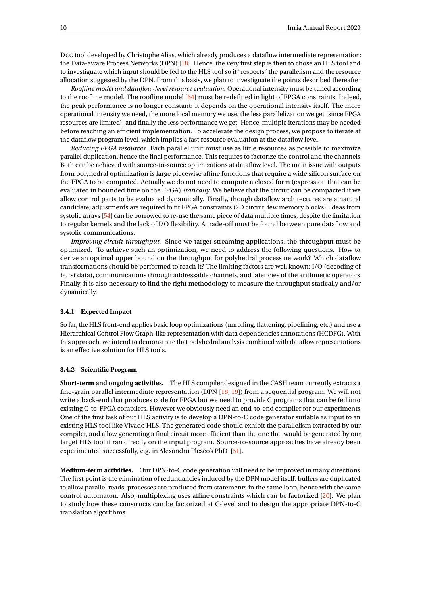DCC tool developed by Christophe Alias, which already produces a dataflow intermediate representation: the Data-aware Process Networks (DPN) [\[18\]](#page-30-3). Hence, the very first step is then to chose an HLS tool and to investiguate which input should be fed to the HLS tool so it "respects" the parallelism and the resource allocation suggested by the DPN. From this basis, we plan to investiguate the points described thereafter.

*Roofline model and dataflow-level resource evaluation*. Operational intensity must be tuned according to the roofline model. The roofline model [\[64\]](#page-33-5) must be redefined in light of FPGA constraints. Indeed, the peak performance is no longer constant: it depends on the operational intensity itself. The more operational intensity we need, the more local memory we use, the less parallelization we get (since FPGA resources are limited), and finally the less performance we get! Hence, multiple iterations may be needed before reaching an efficient implementation. To accelerate the design process, we propose to iterate at the dataflow program level, which implies a fast resource evaluation at the dataflow level.

*Reducing FPGA resources.* Each parallel unit must use as little resources as possible to maximize parallel duplication, hence the final performance. This requires to factorize the control and the channels. Both can be achieved with source-to-source optimizations at dataflow level. The main issue with outputs from polyhedral optimization is large piecewise affine functions that require a wide silicon surface on the FPGA to be computed. Actually we do not need to compute a closed form (expression that can be evaluated in bounded time on the FPGA) *statically*. We believe that the circuit can be compacted if we allow control parts to be evaluated dynamically. Finally, though dataflow architectures are a natural candidate, adjustments are required to fit FPGA constraints (2D circuit, few memory blocks). Ideas from systolic arrays [\[54\]](#page-33-6) can be borrowed to re-use the same piece of data multiple times, despite the limitation to regular kernels and the lack of I/O flexibility. A trade-off must be found between pure dataflow and systolic communications.

*Improving circuit throughput.* Since we target streaming applications, the throughput must be optimized. To achieve such an optimization, we need to address the following questions. How to derive an optimal upper bound on the throughput for polyhedral process network? Which dataflow transformations should be performed to reach it? The limiting factors are well known: I/O (decoding of burst data), communications through addressable channels, and latencies of the arithmetic operators. Finally, it is also necessary to find the right methodology to measure the throughput statically and/or dynamically.

#### <span id="page-12-0"></span>**3.4.1 Expected Impact**

So far, the HLS front-end applies basic loop optimizations (unrolling, flattening, pipelining, etc.) and use a Hierarchical Control Flow Graph-like representation with data dependencies annotations (HCDFG). With this approach, we intend to demonstrate that polyhedral analysis combined with dataflow representations is an effective solution for HLS tools.

#### <span id="page-12-1"></span>**3.4.2 Scientific Program**

**Short-term and ongoing activities.** The HLS compiler designed in the CASH team currently extracts a fine-grain parallel intermediate representation (DPN [\[18,](#page-30-3) [19\]](#page-31-3)) from a sequential program. We will not write a back-end that produces code for FPGA but we need to provide C programs that can be fed into existing C-to-FPGA compilers. However we obviously need an end-to-end compiler for our experiments. One of the first task of our HLS activity is to develop a DPN-to-C code generator suitable as input to an existing HLS tool like Vivado HLS. The generated code should exhibit the parallelism extracted by our compiler, and allow generating a final circuit more efficient than the one that would be generated by our target HLS tool if ran directly on the input program. Source-to-source approaches have already been experimented successfully, e.g. in Alexandru Plesco's PhD [\[51\]](#page-32-11).

**Medium-term activities.** Our DPN-to-C code generation will need to be improved in many directions. The first point is the elimination of redundancies induced by the DPN model itself: buffers are duplicated to allow parallel reads, processes are produced from statements in the same loop, hence with the same control automaton. Also, multiplexing uses affine constraints which can be factorized [\[20\]](#page-31-9). We plan to study how these constructs can be factorized at C-level and to design the appropriate DPN-to-C translation algorithms.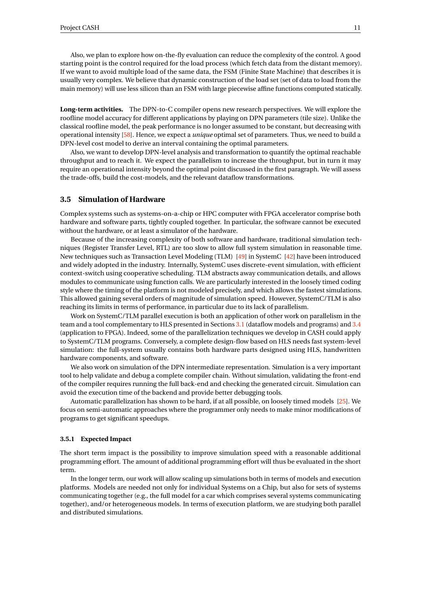Also, we plan to explore how on-the-fly evaluation can reduce the complexity of the control. A good starting point is the control required for the load process (which fetch data from the distant memory). If we want to avoid multiple load of the same data, the FSM (Finite State Machine) that describes it is usually very complex. We believe that dynamic construction of the load set (set of data to load from the main memory) will use less silicon than an FSM with large piecewise affine functions computed statically.

**Long-term activities.** The DPN-to-C compiler opens new research perspectives. We will explore the roofline model accuracy for different applications by playing on DPN parameters (tile size). Unlike the classical roofline model, the peak performance is no longer assumed to be constant, but decreasing with operational intensity [\[58\]](#page-33-7). Hence, we expect a *unique* optimal set of parameters. Thus, we need to build a DPN-level cost model to derive an interval containing the optimal parameters.

Also, we want to develop DPN-level analysis and transformation to quantify the optimal reachable throughput and to reach it. We expect the parallelism to increase the throughput, but in turn it may require an operational intensity beyond the optimal point discussed in the first paragraph. We will assess the trade-offs, build the cost-models, and the relevant dataflow transformations.

### <span id="page-13-0"></span>**3.5 Simulation of Hardware**

Complex systems such as systems-on-a-chip or HPC computer with FPGA accelerator comprise both hardware and software parts, tightly coupled together. In particular, the software cannot be executed without the hardware, or at least a simulator of the hardware.

Because of the increasing complexity of both software and hardware, traditional simulation techniques (Register Transfer Level, RTL) are too slow to allow full system simulation in reasonable time. New techniques such as Transaction Level Modeling (TLM) [\[49\]](#page-32-12) in SystemC [\[42\]](#page-32-13) have been introduced and widely adopted in the industry. Internally, SystemC uses discrete-event simulation, with efficient context-switch using cooperative scheduling. TLM abstracts away communication details, and allows modules to communicate using function calls. We are particularly interested in the loosely timed coding style where the timing of the platform is not modeled precisely, and which allows the fastest simulations. This allowed gaining several orders of magnitude of simulation speed. However, SystemC/TLM is also reaching its limits in terms of performance, in particular due to its lack of parallelism.

Work on SystemC/TLM parallel execution is both an application of other work on parallelism in the team and a tool complementary to HLS presented in Sections [3.1](#page-6-1) (dataflow models and programs) and [3.4](#page-11-0) (application to FPGA). Indeed, some of the parallelization techniques we develop in CASH could apply to SystemC/TLM programs. Conversely, a complete design-flow based on HLS needs fast system-level simulation: the full-system usually contains both hardware parts designed using HLS, handwritten hardware components, and software.

We also work on simulation of the DPN intermediate representation. Simulation is a very important tool to help validate and debug a complete compiler chain. Without simulation, validating the front-end of the compiler requires running the full back-end and checking the generated circuit. Simulation can avoid the execution time of the backend and provide better debugging tools.

Automatic parallelization has shown to be hard, if at all possible, on loosely timed models [\[25\]](#page-31-10). We focus on semi-automatic approaches where the programmer only needs to make minor modifications of programs to get significant speedups.

#### <span id="page-13-1"></span>**3.5.1 Expected Impact**

The short term impact is the possibility to improve simulation speed with a reasonable additional programming effort. The amount of additional programming effort will thus be evaluated in the short term.

In the longer term, our work will allow scaling up simulations both in terms of models and execution platforms. Models are needed not only for individual Systems on a Chip, but also for sets of systems communicating together (e.g., the full model for a car which comprises several systems communicating together), and/or heterogeneous models. In terms of execution platform, we are studying both parallel and distributed simulations.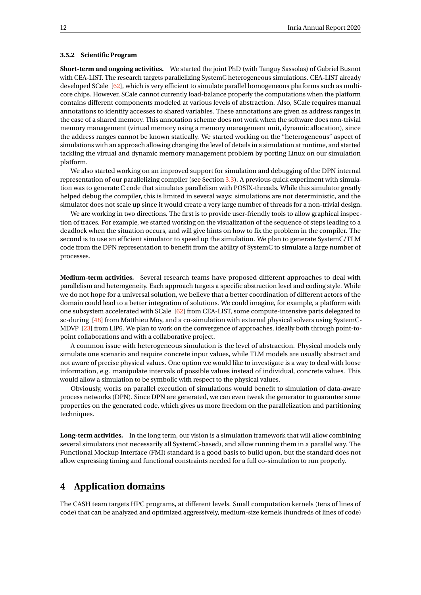#### <span id="page-14-0"></span>**3.5.2 Scientific Program**

**Short-term and ongoing activities.** We started the joint PhD (with Tanguy Sassolas) of Gabriel Busnot with CEA-LIST. The research targets parallelizing SystemC heterogeneous simulations. CEA-LIST already developed SCale [\[62\]](#page-33-8), which is very efficient to simulate parallel homogeneous platforms such as multicore chips. However, SCale cannot currently load-balance properly the computations when the platform contains different components modeled at various levels of abstraction. Also, SCale requires manual annotations to identify accesses to shared variables. These annotations are given as address ranges in the case of a shared memory. This annotation scheme does not work when the software does non-trivial memory management (virtual memory using a memory management unit, dynamic allocation), since the address ranges cannot be known statically. We started working on the "heterogeneous" aspect of simulations with an approach allowing changing the level of details in a simulation at runtime, and started tackling the virtual and dynamic memory management problem by porting Linux on our simulation platform.

We also started working on an improved support for simulation and debugging of the DPN internal representation of our parallelizing compiler (see Section [3.3\)](#page-9-0). A previous quick experiment with simulation was to generate C code that simulates parallelism with POSIX-threads. While this simulator greatly helped debug the compiler, this is limited in several ways: simulations are not deterministic, and the simulator does not scale up since it would create a very large number of threads for a non-trivial design.

We are working in two directions. The first is to provide user-friendly tools to allow graphical inspection of traces. For example, we started working on the visualization of the sequence of steps leading to a deadlock when the situation occurs, and will give hints on how to fix the problem in the compiler. The second is to use an efficient simulator to speed up the simulation. We plan to generate SystemC/TLM code from the DPN representation to benefit from the ability of SystemC to simulate a large number of processes.

**Medium-term activities.** Several research teams have proposed different approaches to deal with parallelism and heterogeneity. Each approach targets a specific abstraction level and coding style. While we do not hope for a universal solution, we believe that a better coordination of different actors of the domain could lead to a better integration of solutions. We could imagine, for example, a platform with one subsystem accelerated with SCale [\[62\]](#page-33-8) from CEA-LIST, some compute-intensive parts delegated to sc-during [\[48\]](#page-32-14) from Matthieu Moy, and a co-simulation with external physical solvers using SystemC-MDVP [\[23\]](#page-31-11) from LIP6. We plan to work on the convergence of approaches, ideally both through point-topoint collaborations and with a collaborative project.

A common issue with heterogeneous simulation is the level of abstraction. Physical models only simulate one scenario and require concrete input values, while TLM models are usually abstract and not aware of precise physical values. One option we would like to investigate is a way to deal with loose information, e.g. manipulate intervals of possible values instead of individual, concrete values. This would allow a simulation to be symbolic with respect to the physical values.

Obviously, works on parallel execution of simulations would benefit to simulation of data-aware process networks (DPN). Since DPN are generated, we can even tweak the generator to guarantee some properties on the generated code, which gives us more freedom on the parallelization and partitioning techniques.

**Long-term activities.** In the long term, our vision is a simulation framework that will allow combining several simulators (not necessarily all SystemC-based), and allow running them in a parallel way. The Functional Mockup Interface (FMI) standard is a good basis to build upon, but the standard does not allow expressing timing and functional constraints needed for a full co-simulation to run properly.

## <span id="page-14-1"></span>**4 Application domains**

The CASH team targets HPC programs, at different levels. Small computation kernels (tens of lines of code) that can be analyzed and optimized aggressively, medium-size kernels (hundreds of lines of code)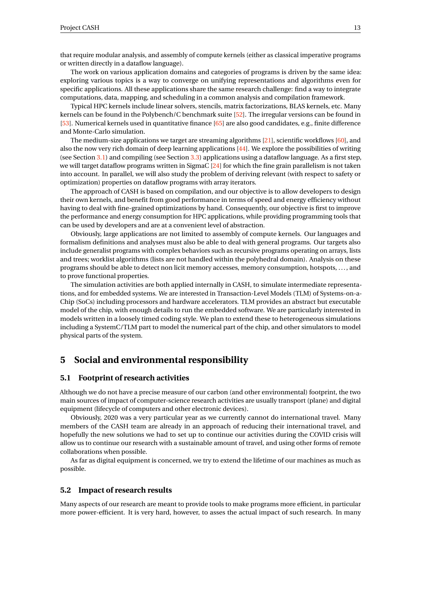that require modular analysis, and assembly of compute kernels (either as classical imperative programs or written directly in a dataflow language).

The work on various application domains and categories of programs is driven by the same idea: exploring various topics is a way to converge on unifying representations and algorithms even for specific applications. All these applications share the same research challenge: find a way to integrate computations, data, mapping, and scheduling in a common analysis and compilation framework.

Typical HPC kernels include linear solvers, stencils, matrix factorizations, BLAS kernels, etc. Many kernels can be found in the Polybench/C benchmark suite [\[52\]](#page-33-9). The irregular versions can be found in [\[53\]](#page-33-10). Numerical kernels used in quantitative finance [\[65\]](#page-33-11) are also good candidates, e.g., finite difference and Monte-Carlo simulation.

The medium-size applications we target are streaming algorithms [\[21\]](#page-31-0), scientific workflows [\[60\]](#page-33-12), and also the now very rich domain of deep learning applications [\[44\]](#page-32-15). We explore the possibilities of writing (see Section [3.1\)](#page-6-1) and compiling (see Section [3.3\)](#page-9-0) applications using a dataflow language. As a first step, we will target dataflow programs written in SigmaC [\[24\]](#page-31-12) for which the fine grain parallelism is not taken into account. In parallel, we will also study the problem of deriving relevant (with respect to safety or optimization) properties on dataflow programs with array iterators.

The approach of CASH is based on compilation, and our objective is to allow developers to design their own kernels, and benefit from good performance in terms of speed and energy efficiency without having to deal with fine-grained optimizations by hand. Consequently, our objective is first to improve the performance and energy consumption for HPC applications, while providing programming tools that can be used by developers and are at a convenient level of abstraction.

Obviously, large applications are not limited to assembly of compute kernels. Our languages and formalism definitions and analyses must also be able to deal with general programs. Our targets also include generalist programs with complex behaviors such as recursive programs operating on arrays, lists and trees; worklist algorithms (lists are not handled within the polyhedral domain). Analysis on these programs should be able to detect non licit memory accesses, memory consumption, hotspots, . . . , and to prove functional properties.

The simulation activities are both applied internally in CASH, to simulate intermediate representations, and for embedded systems. We are interested in Transaction-Level Models (TLM) of Systems-on-a-Chip (SoCs) including processors and hardware accelerators. TLM provides an abstract but executable model of the chip, with enough details to run the embedded software. We are particularly interested in models written in a loosely timed coding style. We plan to extend these to heterogeneous simulations including a SystemC/TLM part to model the numerical part of the chip, and other simulators to model physical parts of the system.

## <span id="page-15-0"></span>**5 Social and environmental responsibility**

#### <span id="page-15-1"></span>**5.1 Footprint of research activities**

Although we do not have a precise measure of our carbon (and other environmental) footprint, the two main sources of impact of computer-science research activities are usually transport (plane) and digital equipment (lifecycle of computers and other electronic devices).

Obviously, 2020 was a very particular year as we currently cannot do international travel. Many members of the CASH team are already in an approach of reducing their international travel, and hopefully the new solutions we had to set up to continue our activities during the COVID crisis will allow us to continue our research with a sustainable amount of travel, and using other forms of remote collaborations when possible.

As far as digital equipment is concerned, we try to extend the lifetime of our machines as much as possible.

#### <span id="page-15-2"></span>**5.2 Impact of research results**

Many aspects of our research are meant to provide tools to make programs more efficient, in particular more power-efficient. It is very hard, however, to asses the actual impact of such research. In many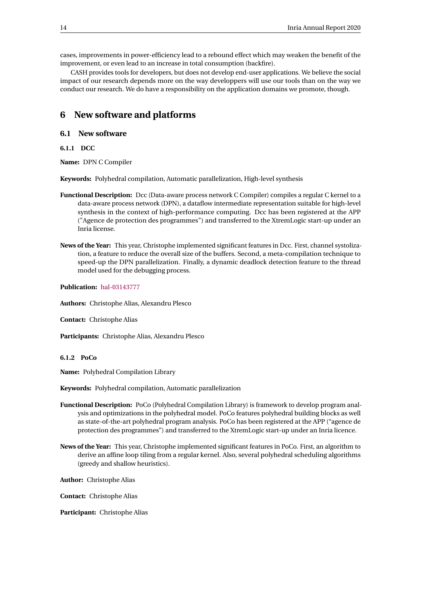cases, improvements in power-efficiency lead to a rebound effect which may weaken the benefit of the improvement, or even lead to an increase in total consumption (backfire).

CASH provides tools for developers, but does not develop end-user applications. We believe the social impact of our research depends more on the way developpers will use our tools than on the way we conduct our research. We do have a responsibility on the application domains we promote, though.

## <span id="page-16-0"></span>**6 New software and platforms**

#### <span id="page-16-1"></span>**6.1 New software**

<span id="page-16-2"></span>**6.1.1 DCC**

**Name:** DPN C Compiler

**Keywords:** Polyhedral compilation, Automatic parallelization, High-level synthesis

- **Functional Description:** Dcc (Data-aware process network C Compiler) compiles a regular C kernel to a data-aware process network (DPN), a dataflow intermediate representation suitable for high-level synthesis in the context of high-performance computing. Dcc has been registered at the APP ("Agence de protection des programmes") and transferred to the XtremLogic start-up under an Inria license.
- **News of the Year:** This year, Christophe implemented significant features in Dcc. First, channel systolization, a feature to reduce the overall size of the buffers. Second, a meta-compilation technique to speed-up the DPN parallelization. Finally, a dynamic deadlock detection feature to the thread model used for the debugging process.

**Publication:** [hal-03143777](https://hal.inria.fr/hal-03143777)

**Authors:** Christophe Alias, Alexandru Plesco

**Contact:** Christophe Alias

**Participants:** Christophe Alias, Alexandru Plesco

<span id="page-16-3"></span>**6.1.2 PoCo**

**Name:** Polyhedral Compilation Library

**Keywords:** Polyhedral compilation, Automatic parallelization

- **Functional Description:** PoCo (Polyhedral Compilation Library) is framework to develop program analysis and optimizations in the polyhedral model. PoCo features polyhedral building blocks as well as state-of-the-art polyhedral program analysis. PoCo has been registered at the APP ("agence de protection des programmes") and transferred to the XtremLogic start-up under an Inria licence.
- **News of the Year:** This year, Christophe implemented significant features in PoCo. First, an algorithm to derive an affine loop tiling from a regular kernel. Also, several polyhedral scheduling algorithms (greedy and shallow heuristics).

**Author:** Christophe Alias

**Contact:** Christophe Alias

**Participant:** Christophe Alias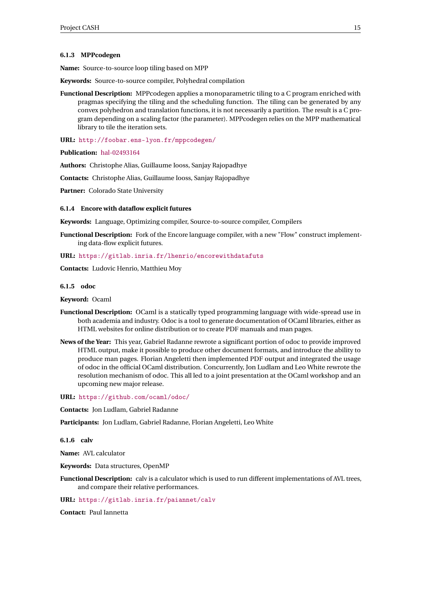#### <span id="page-17-0"></span>**6.1.3 MPPcodegen**

**Name:** Source-to-source loop tiling based on MPP

**Keywords:** Source-to-source compiler, Polyhedral compilation

**Functional Description:** MPPcodegen applies a monoparametric tiling to a C program enriched with pragmas specifying the tiling and the scheduling function. The tiling can be generated by any convex polyhedron and translation functions, it is not necessarily a partition. The result is a C program depending on a scaling factor (the parameter). MPPcodegen relies on the MPP mathematical library to tile the iteration sets.

**URL:** <http://foobar.ens-lyon.fr/mppcodegen/>

**Publication:** [hal-02493164](https://hal.inria.fr/hal-02493164)

**Authors:** Christophe Alias, Guillaume Iooss, Sanjay Rajopadhye

**Contacts:** Christophe Alias, Guillaume Iooss, Sanjay Rajopadhye

**Partner:** Colorado State University

#### <span id="page-17-1"></span>**6.1.4 Encore with dataflow explicit futures**

**Keywords:** Language, Optimizing compiler, Source-to-source compiler, Compilers

**Functional Description:** Fork of the Encore language compiler, with a new "Flow" construct implementing data-flow explicit futures.

**URL:** <https://gitlab.inria.fr/lhenrio/encorewithdatafuts>

**Contacts:** Ludovic Henrio, Matthieu Moy

#### <span id="page-17-2"></span>**6.1.5 odoc**

**Keyword:** Ocaml

- **Functional Description:** OCaml is a statically typed programming language with wide-spread use in both academia and industry. Odoc is a tool to generate documentation of OCaml libraries, either as HTML websites for online distribution or to create PDF manuals and man pages.
- **News of the Year:** This year, Gabriel Radanne rewrote a significant portion of odoc to provide improved HTML output, make it possible to produce other document formats, and introduce the ability to produce man pages. Florian Angeletti then implemented PDF output and integrated the usage of odoc in the official OCaml distribution. Concurrently, Jon Ludlam and Leo White rewrote the resolution mechanism of odoc. This all led to a joint presentation at the OCaml workshop and an upcoming new major release.

**URL:** <https://github.com/ocaml/odoc/>

**Contacts:** Jon Ludlam, Gabriel Radanne

**Participants:** Jon Ludlam, Gabriel Radanne, Florian Angeletti, Leo White

<span id="page-17-3"></span>**6.1.6 calv**

**Name:** AVL calculator

- **Keywords:** Data structures, OpenMP
- **Functional Description:** calv is a calculator which is used to run different implementations of AVL trees, and compare their relative performances.

**URL:** <https://gitlab.inria.fr/paiannet/calv>

**Contact:** Paul Iannetta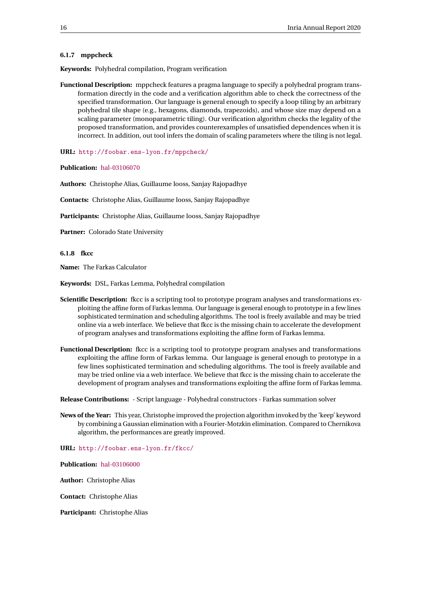#### <span id="page-18-0"></span>**6.1.7 mppcheck**

**Keywords:** Polyhedral compilation, Program verification

**Functional Description:** mppcheck features a pragma language to specify a polyhedral program transformation directly in the code and a verification algorithm able to check the correctness of the specified transformation. Our language is general enough to specify a loop tiling by an arbitrary polyhedral tile shape (e.g., hexagons, diamonds, trapezoids), and whose size may depend on a scaling parameter (monoparametric tiling). Our verification algorithm checks the legality of the proposed transformation, and provides counterexamples of unsatisfied dependences when it is incorrect. In addition, out tool infers the domain of scaling parameters where the tiling is not legal.

**URL:** <http://foobar.ens-lyon.fr/mppcheck/>

**Publication:** [hal-03106070](https://hal.inria.fr/hal-03106070)

**Authors:** Christophe Alias, Guillaume Iooss, Sanjay Rajopadhye

**Contacts:** Christophe Alias, Guillaume Iooss, Sanjay Rajopadhye

**Participants:** Christophe Alias, Guillaume Iooss, Sanjay Rajopadhye

**Partner:** Colorado State University

<span id="page-18-1"></span>**6.1.8 fkcc**

**Name:** The Farkas Calculator

**Keywords:** DSL, Farkas Lemma, Polyhedral compilation

- **Scientific Description:** fkcc is a scripting tool to prototype program analyses and transformations exploiting the affine form of Farkas lemma. Our language is general enough to prototype in a few lines sophisticated termination and scheduling algorithms. The tool is freely available and may be tried online via a web interface. We believe that fkcc is the missing chain to accelerate the development of program analyses and transformations exploiting the affine form of Farkas lemma.
- **Functional Description:** fkcc is a scripting tool to prototype program analyses and transformations exploiting the affine form of Farkas lemma. Our language is general enough to prototype in a few lines sophisticated termination and scheduling algorithms. The tool is freely available and may be tried online via a web interface. We believe that fkcc is the missing chain to accelerate the development of program analyses and transformations exploiting the affine form of Farkas lemma.

**Release Contributions:** - Script language - Polyhedral constructors - Farkas summation solver

**News of the Year:** This year, Christophe improved the projection algorithm invoked by the 'keep' keyword by combining a Gaussian elimination with a Fourier-Motzkin elimination. Compared to Chernikova algorithm, the performances are greatly improved.

**URL:** <http://foobar.ens-lyon.fr/fkcc/>

**Publication:** [hal-03106000](https://hal.inria.fr/hal-03106000)

**Author:** Christophe Alias

**Contact:** Christophe Alias

**Participant:** Christophe Alias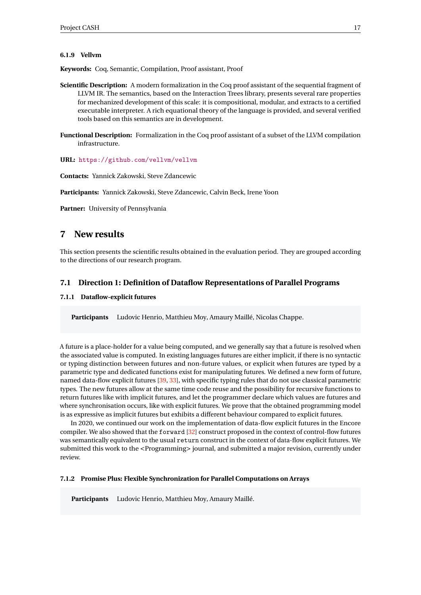#### <span id="page-19-0"></span>**6.1.9 Vellvm**

**Keywords:** Coq, Semantic, Compilation, Proof assistant, Proof

- **Scientific Description:** A modern formalization in the Coq proof assistant of the sequential fragment of LLVM IR. The semantics, based on the Interaction Trees library, presents several rare properties for mechanized development of this scale: it is compositional, modular, and extracts to a certified executable interpreter. A rich equational theory of the language is provided, and several verified tools based on this semantics are in development.
- **Functional Description:** Formalization in the Coq proof assistant of a subset of the LLVM compilation infrastructure.

**URL:** <https://github.com/vellvm/vellvm>

**Contacts:** Yannick Zakowski, Steve Zdancewic

**Participants:** Yannick Zakowski, Steve Zdancewic, Calvin Beck, Irene Yoon

**Partner:** University of Pennsylvania

## <span id="page-19-1"></span>**7 New results**

This section presents the scientific results obtained in the evaluation period. They are grouped according to the directions of our research program.

#### <span id="page-19-2"></span>**7.1 Direction 1: Definition of Dataflow Representations of Parallel Programs**

#### <span id="page-19-3"></span>**7.1.1 Dataflow-explicit futures**

**Participants** Ludovic Henrio, Matthieu Moy, Amaury Maillé, Nicolas Chappe.

A future is a place-holder for a value being computed, and we generally say that a future is resolved when the associated value is computed. In existing languages futures are either implicit, if there is no syntactic or typing distinction between futures and non-future values, or explicit when futures are typed by a parametric type and dedicated functions exist for manipulating futures. We defined a new form of future, named data-flow explicit futures [\[39,](#page-32-4) [33\]](#page-31-13), with specific typing rules that do not use classical parametric types. The new futures allow at the same time code reuse and the possibility for recursive functions to return futures like with implicit futures, and let the programmer declare which values are futures and where synchronisation occurs, like with explicit futures. We prove that the obtained programming model is as expressive as implicit futures but exhibits a different behaviour compared to explicit futures.

In 2020, we continued our work on the implementation of data-flow explicit futures in the Encore compiler. We also showed that the forward [\[32\]](#page-31-2) construct proposed in the context of control-flow futures was semantically equivalent to the usual return construct in the context of data-flow explicit futures. We submitted this work to the <Programming> journal, and submitted a major revision, currently under review.

#### <span id="page-19-4"></span>**7.1.2 Promise Plus: Flexible Synchronization for Parallel Computations on Arrays**

**Participants** Ludovic Henrio, Matthieu Moy, Amaury Maillé.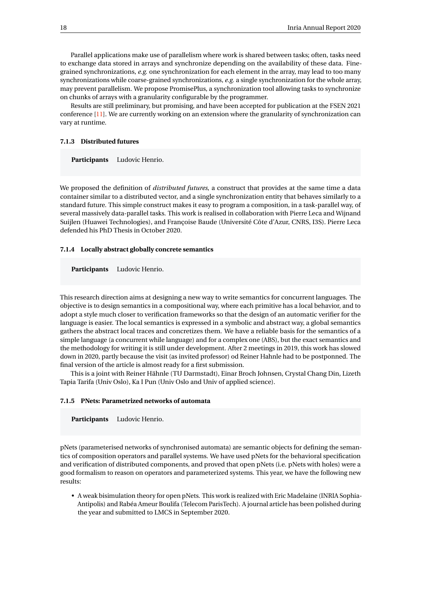Parallel applications make use of parallelism where work is shared between tasks; often, tasks need to exchange data stored in arrays and synchronize depending on the availability of these data. Finegrained synchronizations, *e.g.* one synchronization for each element in the array, may lead to too many synchronizations while coarse-grained synchronizations, *e.g.* a single synchronization for the whole array, may prevent parallelism. We propose PromisePlus, a synchronization tool allowing tasks to synchronize on chunks of arrays with a granularity configurable by the programmer.

Results are still preliminary, but promising, and have been accepted for publication at the FSEN 2021 conference [\[11\]](#page-30-5). We are currently working on an extension where the granularity of synchronization can vary at runtime.

#### <span id="page-20-0"></span>**7.1.3 Distributed futures**

**Participants** Ludovic Henrio.

We proposed the definition of *distributed futures*, a construct that provides at the same time a data container similar to a distributed vector, and a single synchronization entity that behaves similarly to a standard future. This simple construct makes it easy to program a composition, in a task-parallel way, of several massively data-parallel tasks. This work is realised in collaboration with Pierre Leca and Wijnand Suijlen (Huawei Technologies), and Françoise Baude (Université Côte d'Azur, CNRS, I3S). Pierre Leca defended his PhD Thesis in October 2020.

#### <span id="page-20-1"></span>**7.1.4 Locally abstract globally concrete semantics**

**Participants** Ludovic Henrio.

This research direction aims at designing a new way to write semantics for concurrent languages. The objective is to design semantics in a compositional way, where each primitive has a local behavior, and to adopt a style much closer to verification frameworks so that the design of an automatic verifier for the language is easier. The local semantics is expressed in a symbolic and abstract way, a global semantics gathers the abstract local traces and concretizes them. We have a reliable basis for the semantics of a simple language (a concurrent while language) and for a complex one (ABS), but the exact semantics and the methodology for writing it is still under development. After 2 meetings in 2019, this work has slowed down in 2020, partly because the visit (as invited professor) od Reiner Hahnle had to be postponned. The final version of the article is almost ready for a first submission.

This is a joint with Reiner Hähnle (TU Darmstadt), Einar Broch Johnsen, Crystal Chang Din, Lizeth Tapia Tarifa (Univ Oslo), Ka I Pun (Univ Oslo and Univ of applied science).

#### <span id="page-20-2"></span>**7.1.5 PNets: Parametrized networks of automata**

**Participants** Ludovic Henrio.

pNets (parameterised networks of synchronised automata) are semantic objects for defining the semantics of composition operators and parallel systems. We have used pNets for the behavioral specification and verification of distributed components, and proved that open pNets (i.e. pNets with holes) were a good formalism to reason on operators and parameterized systems. This year, we have the following new results:

• A weak bisimulation theory for open pNets. This work is realized with Eric Madelaine (INRIA Sophia-Antipolis) and Rabéa Ameur Boulifa (Telecom ParisTech). A journal article has been polished during the year and submitted to LMCS in September 2020.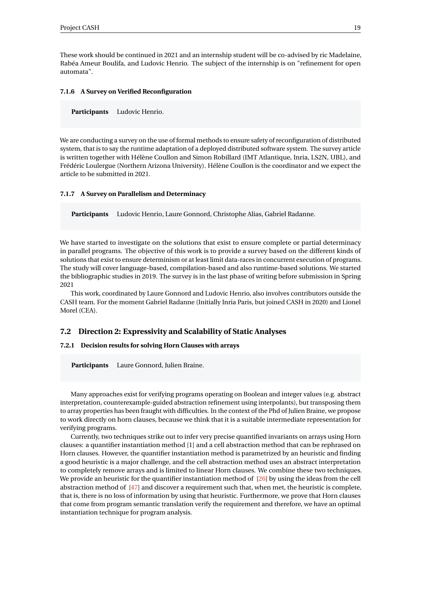These work should be continued in 2021 and an internship student will be co-advised by ric Madelaine, Rabéa Ameur Boulifa, and Ludovic Henrio. The subject of the internship is on "refinement for open automata".

#### <span id="page-21-0"></span>**7.1.6 A Survey on Verified Reconfiguration**

**Participants** Ludovic Henrio.

We are conducting a survey on the use of formal methods to ensure safety of reconfiguration of distributed system, that is to say the runtime adaptation of a deployed distributed software system. The survey article is written together with Hélène Coullon and Simon Robillard (IMT Atlantique, Inria, LS2N, UBL), and Frédéric Loulergue (Northern Arizona University). Hélène Coullon is the coordinator and we expect the article to be submitted in 2021.

#### <span id="page-21-1"></span>**7.1.7 A Survey on Parallelism and Determinacy**

**Participants** Ludovic Henrio, Laure Gonnord, Christophe Alias, Gabriel Radanne.

We have started to investigate on the solutions that exist to ensure complete or partial determinacy in parallel programs. The objective of this work is to provide a survey based on the different kinds of solutions that exist to ensure determinism or at least limit data-races in concurrent execution of programs. The study will cover language-based, compilation-based and also runtime-based solutions. We started the bibliographic studies in 2019. The survey is in the last phase of writing before submission in Spring 2021

This work, coordinated by Laure Gonnord and Ludovic Henrio, also involves contributors outside the CASH team. For the moment Gabriel Radanne (Initially Inria Paris, but joined CASH in 2020) and Lionel Morel (CEA).

#### <span id="page-21-2"></span>**7.2 Direction 2: Expressivity and Scalability of Static Analyses**

#### <span id="page-21-3"></span>**7.2.1 Decision results for solving Horn Clauses with arrays**

**Participants** Laure Gonnord, Julien Braine.

Many approaches exist for verifying programs operating on Boolean and integer values (e.g. abstract interpretation, counterexample-guided abstraction refinement using interpolants), but transposing them to array properties has been fraught with difficulties. In the context of the Phd of Julien Braine, we propose to work directly on horn clauses, because we think that it is a suitable intermediate representation for verifying programs.

Currently, two techniques strike out to infer very precise quantified invariants on arrays using Horn clauses: a quantifier instantiation method [1] and a cell abstraction method that can be rephrased on Horn clauses. However, the quantifier instantiation method is parametrized by an heuristic and finding a good heuristic is a major challenge, and the cell abstraction method uses an abstract interpretation to completely remove arrays and is limited to linear Horn clauses. We combine these two techniques. We provide an heuristic for the quantifier instantiation method of [\[26\]](#page-31-14) by using the ideas from the cell abstraction method of [\[47\]](#page-32-16) and discover a requirement such that, when met, the heuristic is complete, that is, there is no loss of information by using that heuristic. Furthermore, we prove that Horn clauses that come from program semantic translation verify the requirement and therefore, we have an optimal instantiation technique for program analysis.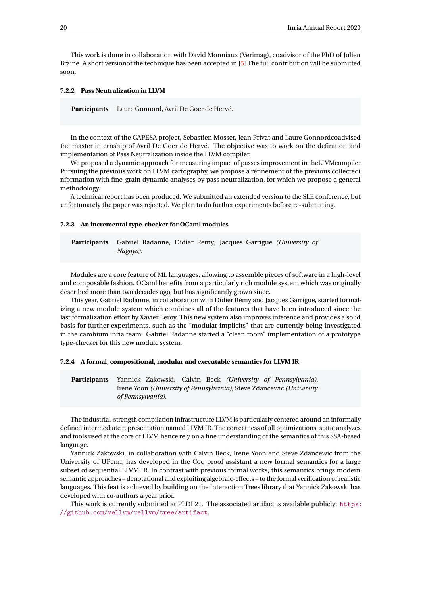This work is done in collaboration with David Monniaux (Verimag), coadvisor of the PhD of Julien Braine. A short versionof the technique has been accepted in [\[5\]](#page-29-4) The full contribution will be submitted soon.

#### <span id="page-22-0"></span>**7.2.2 Pass Neutralization in LLVM**

**Participants** Laure Gonnord, Avril De Goer de Hervé.

In the context of the CAPESA project, Sebastien Mosser, Jean Privat and Laure Gonnordcoadvised the master internship of Avril De Goer de Hervé. The objective was to work on the definition and implementation of Pass Neutralization inside the LLVM compiler.

We proposed a dynamic approach for measuring impact of passes improvement in theLLVMcompiler. Pursuing the previous work on LLVM cartography, we propose a refinement of the previous collectedi nformation with fine-grain dynamic analyses by pass neutralization, for which we propose a general methodology.

A technical report has been produced. We submitted an extended version to the SLE conference, but unfortunately the paper was rejected. We plan to do further experiments before re-submitting.

#### <span id="page-22-1"></span>**7.2.3 An incremental type-checker for OCaml modules**

**Participants** Gabriel Radanne, Didier Remy, Jacques Garrigue *(University of Nagoya)*.

Modules are a core feature of ML languages, allowing to assemble pieces of software in a high-level and composable fashion. OCaml benefits from a particularly rich module system which was originally described more than two decades ago, but has significantly grown since.

This year, Gabriel Radanne, in collaboration with Didier Rémy and Jacques Garrigue, started formalizing a new module system which combines all of the features that have been introduced since the last formalization effort by Xavier Leroy. This new system also improves inference and provides a solid basis for further experiments, such as the "modular implicits" that are currently being investigated in the cambium inria team. Gabriel Radanne started a "clean room" implementation of a prototype type-checker for this new module system.

#### <span id="page-22-2"></span>**7.2.4 A formal, compositional, modular and executable semantics for LLVM IR**

**Participants** Yannick Zakowski, Calvin Beck *(University of Pennsylvania)*, Irene Yoon *(University of Pennsylvania)*, Steve Zdancewic *(University of Pennsylvania)*.

The industrial-strength compilation infrastructure LLVM is particularly centered around an informally defined intermediate representation named LLVM IR. The correctness of all optimizations, static analyzes and tools used at the core of LLVM hence rely on a fine understanding of the semantics of this SSA-based language.

Yannick Zakowski, in collaboration with Calvin Beck, Irene Yoon and Steve Zdancewic from the University of UPenn, has developed in the Coq proof assistant a new formal semantics for a large subset of sequential LLVM IR. In contrast with previous formal works, this semantics brings modern semantic approaches – denotational and exploiting algebraic-effects – to the formal verification of realistic languages. This feat is achieved by building on the Interaction Trees library that Yannick Zakowski has developed with co-authors a year prior.

This work is currently submitted at PLDI'21. The associated artifact is available publicly: [https:](https://github.com/vellvm/vellvm/tree/artifact) [//github.com/vellvm/vellvm/tree/artifact](https://github.com/vellvm/vellvm/tree/artifact).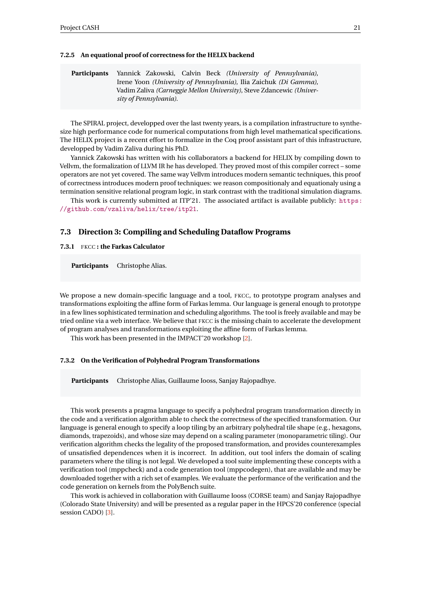#### <span id="page-23-0"></span>**7.2.5 An equational proof of correctness for the HELIX backend**

| <b>Participants</b> | Yannick Zakowski, Calvin Beck (University of Pennsylvania),       |  |                                                                                     |  |  |  |  |
|---------------------|-------------------------------------------------------------------|--|-------------------------------------------------------------------------------------|--|--|--|--|
|                     | Irene Yoon (University of Pennsylvania), Ilia Zaichuk (Di Gamma), |  |                                                                                     |  |  |  |  |
|                     |                                                                   |  | Vadim Zaliva <i>(Carneggie Mellon University)</i> , Steve Zdancewic <i>(Univer-</i> |  |  |  |  |
|                     | sity of Pennsylvania).                                            |  |                                                                                     |  |  |  |  |

The SPIRAL project, developped over the last twenty years, is a compilation infrastructure to synthesize high performance code for numerical computations from high level mathematical specifications. The HELIX project is a recent effort to formalize in the Coq proof assistant part of this infrastructure, developped by Vadim Zaliva during his PhD.

Yannick Zakowski has written with his collaborators a backend for HELIX by compiling down to Vellvm, the formalization of LLVM IR he has developed. They proved most of this compiler correct – some operators are not yet covered. The same way Vellvm introduces modern semantic techniques, this proof of correctness introduces modern proof techniques: we reason compositionaly and equationaly using a termination sensitive relational program logic, in stark contrast with the traditional simulation diagrams.

This work is currently submitted at ITP'21. The associated artifact is available publicly: [https:](https://github.com/vzaliva/helix/tree/itp21) [//github.com/vzaliva/helix/tree/itp21](https://github.com/vzaliva/helix/tree/itp21).

#### <span id="page-23-1"></span>**7.3 Direction 3: Compiling and Scheduling Dataflow Programs**

<span id="page-23-2"></span>**7.3.1** FKCC **: the Farkas Calculator**

**Participants** Christophe Alias.

We propose a new domain-specific language and a tool, FKCC, to prototype program analyses and transformations exploiting the affine form of Farkas lemma. Our language is general enough to prototype in a few lines sophisticated termination and scheduling algorithms. The tool is freely available and may be tried online via a web interface. We believe that FKCC is the missing chain to accelerate the development of program analyses and transformations exploiting the affine form of Farkas lemma.

This work has been presented in the IMPACT'20 workshop [\[2\]](#page-29-5).

#### <span id="page-23-3"></span>**7.3.2 On the Verification of Polyhedral Program Transformations**

**Participants** Christophe Alias, Guillaume Iooss, Sanjay Rajopadhye.

This work presents a pragma language to specify a polyhedral program transformation directly in the code and a verification algorithm able to check the correctness of the specified transformation. Our language is general enough to specify a loop tiling by an arbitrary polyhedral tile shape (e.g., hexagons, diamonds, trapezoids), and whose size may depend on a scaling parameter (monoparametric tiling). Our verification algorithm checks the legality of the proposed transformation, and provides counterexamples of unsatisfied dependences when it is incorrect. In addition, out tool infers the domain of scaling parameters where the tiling is not legal. We developed a tool suite implementing these concepts with a verification tool (mppcheck) and a code generation tool (mppcodegen), that are available and may be downloaded together with a rich set of examples. We evaluate the performance of the verification and the code generation on kernels from the PolyBench suite.

This work is achieved in collaboration with Guillaume Iooss (CORSE team) and Sanjay Rajopadhye (Colorado State University) and will be presented as a regular paper in the HPCS'20 conference (special session CADO) [\[3\]](#page-29-6).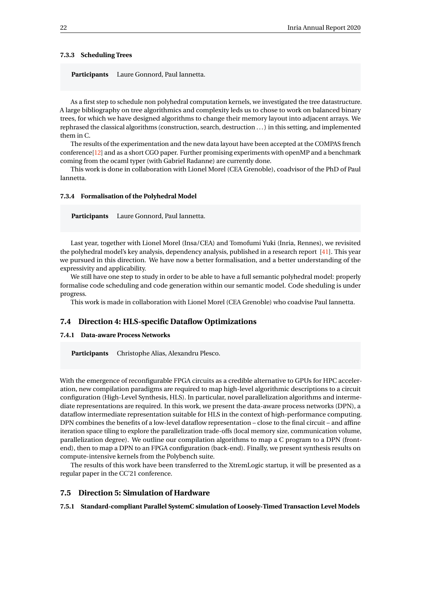#### <span id="page-24-0"></span>**7.3.3 Scheduling Trees**

**Participants** Laure Gonnord, Paul Iannetta.

As a first step to schedule non polyhedral computation kernels, we investigated the tree datastructure. A large bibliography on tree algorithmics and complexity leds us to chose to work on balanced binary trees, for which we have designed algorithms to change their memory layout into adjacent arrays. We rephrased the classical algorithms (construction, search, destruction . . . ) in this setting, and implemented them in C.

The results of the experimentation and the new data layout have been accepted at the COMPAS french conference[\[12\]](#page-30-6) and as a short CGO paper. Further promising experiments with openMP and a benchmark coming from the ocaml typer (with Gabriel Radanne) are currently done.

This work is done in collaboration with Lionel Morel (CEA Grenoble), coadvisor of the PhD of Paul Iannetta.

#### <span id="page-24-1"></span>**7.3.4 Formalisation of the Polyhedral Model**

**Participants** Laure Gonnord, Paul Iannetta.

Last year, together with Lionel Morel (Insa/CEA) and Tomofumi Yuki (Inria, Rennes), we revisited the polyhedral model's key analysis, dependency analysis, published in a research report [\[41\]](#page-32-17). This year we pursued in this direction. We have now a better formalisation, and a better understanding of the expressivity and applicability.

We still have one step to study in order to be able to have a full semantic polyhedral model: properly formalise code scheduling and code generation within our semantic model. Code sheduling is under progress.

This work is made in collaboration with Lionel Morel (CEA Grenoble) who coadvise Paul Iannetta.

#### <span id="page-24-2"></span>**7.4 Direction 4: HLS-specific Dataflow Optimizations**

#### <span id="page-24-3"></span>**7.4.1 Data-aware Process Networks**

**Participants** Christophe Alias, Alexandru Plesco.

With the emergence of reconfigurable FPGA circuits as a credible alternative to GPUs for HPC acceleration, new compilation paradigms are required to map high-level algorithmic descriptions to a circuit configuration (High-Level Synthesis, HLS). In particular, novel parallelization algorithms and intermediate representations are required. In this work, we present the data-aware process networks (DPN), a dataflow intermediate representation suitable for HLS in the context of high-performance computing. DPN combines the benefits of a low-level dataflow representation – close to the final circuit – and affine iteration space tiling to explore the parallelization trade-offs (local memory size, communication volume, parallelization degree). We outline our compilation algorithms to map a C program to a DPN (frontend), then to map a DPN to an FPGA configuration (back-end). Finally, we present synthesis results on compute-intensive kernels from the Polybench suite.

The results of this work have been transferred to the XtremLogic startup, it will be presented as a regular paper in the CC'21 conference.

#### <span id="page-24-4"></span>**7.5 Direction 5: Simulation of Hardware**

<span id="page-24-5"></span>**7.5.1 Standard-compliant Parallel SystemC simulation of Loosely-Timed Transaction Level Models**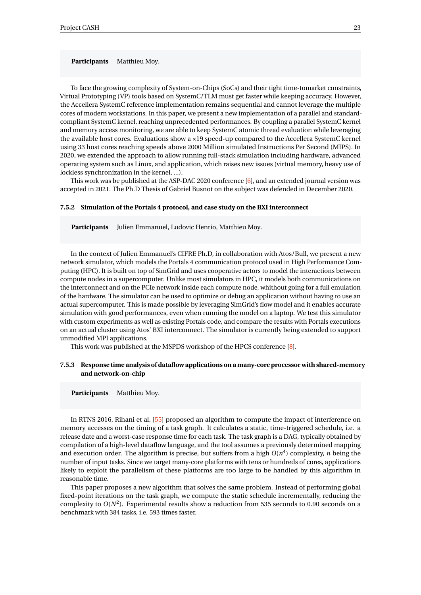**Participants** Matthieu Moy.

To face the growing complexity of System-on-Chips (SoCs) and their tight time-tomarket constraints, Virtual Prototyping (VP) tools based on SystemC/TLM must get faster while keeping accuracy. However, the Accellera SystemC reference implementation remains sequential and cannot leverage the multiple cores of modern workstations. In this paper, we present a new implementation of a parallel and standardcompliant SystemC kernel, reaching unprecedented performances. By coupling a parallel SystemC kernel and memory access monitoring, we are able to keep SystemC atomic thread evaluation while leveraging the available host cores. Evaluations show a ×19 speed-up compared to the Accellera SystemC kernel using 33 host cores reaching speeds above 2000 Million simulated Instructions Per Second (MIPS). In 2020, we extended the approach to allow running full-stack simulation including hardware, advanced operating system such as Linux, and application, which raises new issues (virtual memory, heavy use of lockless synchronization in the kernel, ...).

This work was be published at the ASP-DAC 2020 conference [\[6\]](#page-29-7), and an extended journal version was accepted in 2021. The Ph.D Thesis of Gabriel Busnot on the subject was defended in December 2020.

#### <span id="page-25-0"></span>**7.5.2 Simulation of the Portals 4 protocol, and case study on the BXI interconnect**

**Participants** Julien Emmanuel, Ludovic Henrio, Matthieu Moy.

In the context of Julien Emmanuel's CIFRE Ph.D, in collaboration with Atos/Bull, we present a new network simulator, which models the Portals 4 communication protocol used in High Performance Computing (HPC). It is built on top of SimGrid and uses cooperative actors to model the interactions between compute nodes in a supercomputer. Unlike most simulators in HPC, it models both communications on the interconnect and on the PCIe network inside each compute node, whithout going for a full emulation of the hardware. The simulator can be used to optimize or debug an application without having to use an actual supercomputer. This is made possible by leveraging SimGrid's flow model and it enables accurate simulation with good performances, even when running the model on a laptop. We test this simulator with custom experiments as well as existing Portals code, and compare the results with Portals executions on an actual cluster using Atos' BXI interconnect. The simulator is currently being extended to support unmodified MPI applications.

This work was published at the MSPDS workshop of the HPCS conference [\[8\]](#page-30-7).

#### <span id="page-25-1"></span>**7.5.3 Response time analysis of dataflow applications on a many-core processor with shared-memory and network-on-chip**

#### **Participants** Matthieu Moy.

In RTNS 2016, Rihani et al. [\[55\]](#page-33-13) proposed an algorithm to compute the impact of interference on memory accesses on the timing of a task graph. It calculates a static, time-triggered schedule, i.e. a release date and a worst-case response time for each task. The task graph is a DAG, typically obtained by compilation of a high-level dataflow language, and the tool assumes a previously determined mapping and execution order. The algorithm is precise, but suffers from a high *O*(*n* 4 ) complexity, *n* being the number of input tasks. Since we target many-core platforms with tens or hundreds of cores, applications likely to exploit the parallelism of these platforms are too large to be handled by this algorithm in reasonable time.

This paper proposes a new algorithm that solves the same problem. Instead of performing global fixed-point iterations on the task graph, we compute the static schedule incrementally, reducing the complexity to  $O(N^2)$ . Experimental results show a reduction from 535 seconds to 0.90 seconds on a benchmark with 384 tasks, i.e. 593 times faster.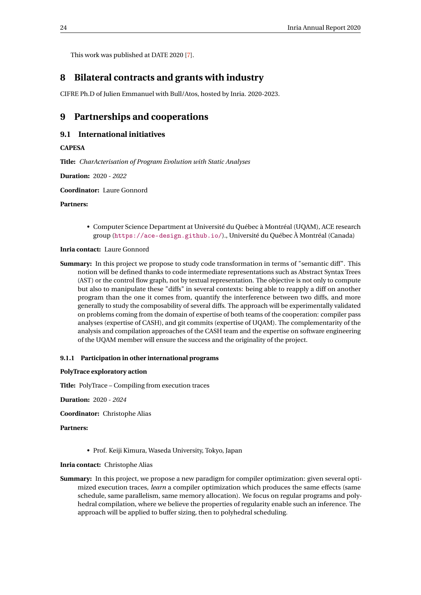This work was published at DATE 2020 [\[7\]](#page-30-8).

## <span id="page-26-0"></span>**8 Bilateral contracts and grants with industry**

CIFRE Ph.D of Julien Emmanuel with Bull/Atos, hosted by Inria. 2020-2023.

## <span id="page-26-1"></span>**9 Partnerships and cooperations**

## <span id="page-26-2"></span>**9.1 International initiatives**

#### **CAPESA**

**Title:** *CharActerisation of Program Evolution with Static Analyses*

**Duration:** 2020 - *2022*

**Coordinator:** Laure Gonnord

#### **Partners:**

• Computer Science Department at Université du Québec à Montréal (UQAM), ACE research group (<https://ace-design.github.io/>)., Université du Québec À Montréal (Canada)

#### **Inria contact:** Laure Gonnord

**Summary:** In this project we propose to study code transformation in terms of "semantic diff". This notion will be defined thanks to code intermediate representations such as Abstract Syntax Trees (AST) or the control flow graph, not by textual representation. The objective is not only to compute but also to manipulate these "diffs" in several contexts: being able to reapply a diff on another program than the one it comes from, quantify the interference between two diffs, and more generally to study the composability of several diffs. The approach will be experimentally validated on problems coming from the domain of expertise of both teams of the cooperation: compiler pass analyses (expertise of CASH), and git commits (expertise of UQAM). The complementarity of the analysis and compilation approaches of the CASH team and the expertise on software engineering of the UQAM member will ensure the success and the originality of the project.

#### <span id="page-26-3"></span>**9.1.1 Participation in other international programs**

#### **PolyTrace exploratory action**

**Title:** PolyTrace – Compiling from execution traces

**Duration:** 2020 - *2024*

**Coordinator:** Christophe Alias

#### **Partners:**

• Prof. Keiji Kimura, Waseda University, Tokyo, Japan

**Inria contact:** Christophe Alias

**Summary:** In this project, we propose a new paradigm for compiler optimization: given several optimized execution traces, *learn* a compiler optimization which produces the same effects (same schedule, same parallelism, same memory allocation). We focus on regular programs and polyhedral compilation, where we believe the properties of regularity enable such an inference. The approach will be applied to buffer sizing, then to polyhedral scheduling.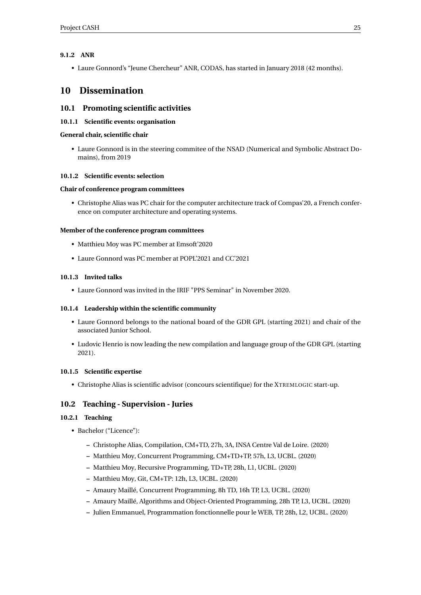#### <span id="page-27-0"></span>**9.1.2 ANR**

• Laure Gonnord's "Jeune Chercheur" ANR, CODAS, has started in January 2018 (42 months).

## <span id="page-27-1"></span>**10 Dissemination**

## <span id="page-27-2"></span>**10.1 Promoting scientific activities**

<span id="page-27-3"></span>**10.1.1 Scientific events: organisation**

#### **General chair, scientific chair**

• Laure Gonnord is in the steering commitee of the NSAD (Numerical and Symbolic Abstract Domains), from 2019

#### <span id="page-27-4"></span>**10.1.2 Scientific events: selection**

#### **Chair of conference program committees**

• Christophe Alias was PC chair for the computer architecture track of Compas'20, a French conference on computer architecture and operating systems.

#### **Member of the conference program committees**

- Matthieu Moy was PC member at Emsoft'2020
- Laure Gonnord was PC member at POPL'2021 and CC'2021

#### <span id="page-27-5"></span>**10.1.3 Invited talks**

• Laure Gonnord was invited in the IRIF "PPS Seminar" in November 2020.

#### <span id="page-27-6"></span>**10.1.4 Leadership within the scientific community**

- Laure Gonnord belongs to the national board of the GDR GPL (starting 2021) and chair of the associated Junior School.
- Ludovic Henrio is now leading the new compilation and language group of the GDR GPL (starting 2021).

#### <span id="page-27-7"></span>**10.1.5 Scientific expertise**

• Christophe Alias is scientific advisor (concours scientifique) for the XTREMLOGIC start-up.

#### <span id="page-27-8"></span>**10.2 Teaching - Supervision - Juries**

#### <span id="page-27-9"></span>**10.2.1 Teaching**

- Bachelor ("Licence"):
	- **–** Christophe Alias, Compilation, CM+TD, 27h, 3A, INSA Centre Val de Loire. (2020)
	- **–** Matthieu Moy, Concurrent Programming, CM+TD+TP, 57h, L3, UCBL. (2020)
	- **–** Matthieu Moy, Recursive Programming, TD+TP, 28h, L1, UCBL. (2020)
	- **–** Matthieu Moy, Git, CM+TP: 12h, L3, UCBL. (2020)
	- **–** Amaury Maillé, Concurrent Programming, 8h TD, 16h TP, L3, UCBL. (2020)
	- **–** Amaury Maillé, Algorithms and Object-Oriented Programming, 28h TP, L3, UCBL. (2020)
	- **–** Julien Emmanuel, Programmation fonctionnelle pour le WEB, TP, 28h, L2, UCBL. (2020)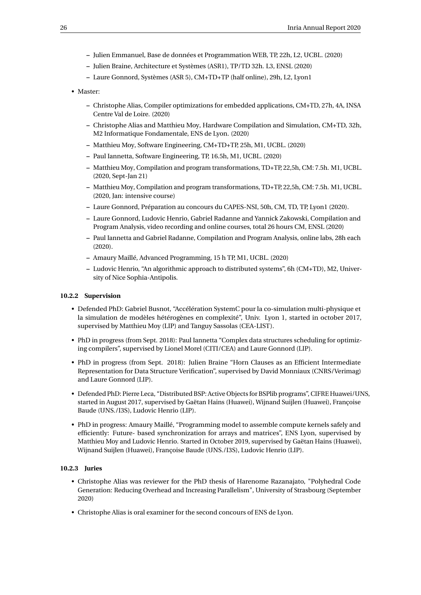- **–** Julien Emmanuel, Base de données et Programmation WEB, TP, 22h, L2, UCBL. (2020)
- **–** Julien Braine, Architecture et Systèmes (ASR1), TP/TD 32h. L3, ENSL (2020)
- **–** Laure Gonnord, Systèmes (ASR 5), CM+TD+TP (half online), 29h, L2, Lyon1
- Master:
	- **–** Christophe Alias, Compiler optimizations for embedded applications, CM+TD, 27h, 4A, INSA Centre Val de Loire. (2020)
	- **–** Christophe Alias and Matthieu Moy, Hardware Compilation and Simulation, CM+TD, 32h, M2 Informatique Fondamentale, ENS de Lyon. (2020)
	- **–** Matthieu Moy, Software Engineering, CM+TD+TP, 25h, M1, UCBL. (2020)
	- **–** Paul Iannetta, Software Engineering, TP, 16.5h, M1, UCBL. (2020)
	- **–** Matthieu Moy, Compilation and program transformations, TD+TP, 22,5h, CM: 7.5h. M1, UCBL. (2020, Sept-Jan 21)
	- **–** Matthieu Moy, Compilation and program transformations, TD+TP, 22,5h, CM: 7.5h. M1, UCBL. (2020, Jan: intensive course)
	- **–** Laure Gonnord, Préparation au concours du CAPES-NSI, 50h, CM, TD, TP, Lyon1 (2020).
	- **–** Laure Gonnord, Ludovic Henrio, Gabriel Radanne and Yannick Zakowski, Compilation and Program Analysis, video recording and online courses, total 26 hours CM, ENSL (2020)
	- **–** Paul Iannetta and Gabriel Radanne, Compilation and Program Analysis, online labs, 28h each (2020).
	- **–** Amaury Maillé, Advanced Programming, 15 h TP, M1, UCBL. (2020)
	- **–** Ludovic Henrio, "An algorithmic approach to distributed systems", 6h (CM+TD), M2, University of Nice Sophia-Antipolis.

#### <span id="page-28-0"></span>**10.2.2 Supervision**

- Defended PhD: Gabriel Busnot, "Accélération SystemC pour la co-simulation multi-physique et la simulation de modèles hétérogènes en complexité", Univ. Lyon 1, started in october 2017, supervised by Matthieu Moy (LIP) and Tanguy Sassolas (CEA-LIST).
- PhD in progress (from Sept. 2018): Paul Iannetta "Complex data structures scheduling for optimizing compilers", supervised by Lionel Morel (CITI/CEA) and Laure Gonnord (LIP).
- PhD in progress (from Sept. 2018): Julien Braine "Horn Clauses as an Efficient Intermediate Representation for Data Structure Verification", supervised by David Monniaux (CNRS/Verimag) and Laure Gonnord (LIP).
- Defended PhD: Pierre Leca, "Distributed BSP: Active Objects for BSPlib programs", CIFRE Huawei/UNS, started in August 2017, supervised by Gaëtan Hains (Huawei), Wijnand Suijlen (Huawei), Françoise Baude (UNS./I3S), Ludovic Henrio (LIP).
- PhD in progress: Amaury Maillé, "Programming model to assemble compute kernels safely and efficiently: Future- based synchronization for arrays and matrices", ENS Lyon, supervised by Matthieu Moy and Ludovic Henrio. Started in October 2019, supervised by Gaëtan Hains (Huawei), Wijnand Suijlen (Huawei), Françoise Baude (UNS./I3S), Ludovic Henrio (LIP).

#### <span id="page-28-1"></span>**10.2.3 Juries**

- Christophe Alias was reviewer for the PhD thesis of Harenome Razanajato, "Polyhedral Code Generation: Reducing Overhead and Increasing Parallelism", University of Strasbourg (September 2020)
- Christophe Alias is oral examiner for the second concours of ENS de Lyon.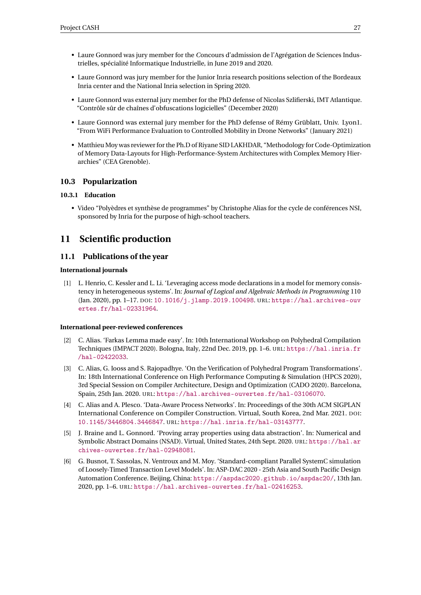- Laure Gonnord was jury member for the *C*oncours d'admission de l'Agrégation de Sciences Industrielles, spécialité Informatique Industrielle, in June 2019 and 2020.
- Laure Gonnord was jury member for the Junior Inria research positions selection of the Bordeaux Inria center and the National Inria selection in Spring 2020.
- Laure Gonnord was external jury member for the PhD defense of Nicolas Szlifierski, IMT Atlantique. "Contrôle sûr de chaînes d'obfuscations logicielles" (December 2020)
- Laure Gonnord was external jury member for the PhD defense of Rémy Grüblatt, Univ. Lyon1. "From WiFi Performance Evaluation to Controlled Mobility in Drone Networks" (January 2021)
- Matthieu Moy was reviewer for the Ph.D of Riyane SID LAKHDAR, "Methodology for Code-Optimization of Memory Data-Layouts for High-Performance-System Architectures with Complex Memory Hierarchies" (CEA Grenoble).

## <span id="page-29-0"></span>**10.3 Popularization**

#### <span id="page-29-1"></span>**10.3.1 Education**

• Video "Polyèdres et synthèse de programmes" by Christophe Alias for the cycle de conférences NSI, sponsored by Inria for the purpose of high-school teachers.

## <span id="page-29-2"></span>**11 Scientific production**

#### <span id="page-29-3"></span>**11.1 Publications of the year**

#### **International journals**

[1] L. Henrio, C. Kessler and L. Li. 'Leveraging access mode declarations in a model for memory consistency in heterogeneous systems'. In: *Journal of Logical and Algebraic Methods in Programming* 110 (Jan. 2020), pp. 1–17. DOI: [10.1016/j.jlamp.2019.100498](https://doi.org/10.1016/j.jlamp.2019.100498). URL: [https://hal.archives-ouv](https://hal.archives-ouvertes.fr/hal-02331964) [ertes.fr/hal-02331964](https://hal.archives-ouvertes.fr/hal-02331964).

#### **International peer-reviewed conferences**

- <span id="page-29-5"></span>[2] C. Alias. 'Farkas Lemma made easy'. In: 10th International Workshop on Polyhedral Compilation Techniques (IMPACT 2020). Bologna, Italy, 22nd Dec. 2019, pp. 1–6. URL: [https://hal.inria.fr](https://hal.inria.fr/hal-02422033) [/hal-02422033](https://hal.inria.fr/hal-02422033).
- <span id="page-29-6"></span>[3] C. Alias, G. Iooss and S. Rajopadhye. 'On the Verification of Polyhedral Program Transformations'. In: 18th International Conference on High Performance Computing & Simulation (HPCS 2020), 3rd Special Session on Compiler Architecture, Design and Optimization (CADO 2020). Barcelona, Spain, 25th Jan. 2020. URL: <https://hal.archives-ouvertes.fr/hal-03106070>.
- [4] C. Alias and A. Plesco. 'Data-Aware Process Networks'. In: Proceedings of the 30th ACM SIGPLAN International Conference on Compiler Construction. Virtual, South Korea, 2nd Mar. 2021. DOI: [10.1145/3446804.3446847](https://doi.org/10.1145/3446804.3446847). URL: <https://hal.inria.fr/hal-03143777>.
- <span id="page-29-4"></span>[5] J. Braine and L. Gonnord. 'Proving array properties using data abstraction'. In: Numerical and Symbolic Abstract Domains (NSAD). Virtual, United States, 24th Sept. 2020. URL: [https://hal.ar](https://hal.archives-ouvertes.fr/hal-02948081) [chives-ouvertes.fr/hal-02948081](https://hal.archives-ouvertes.fr/hal-02948081).
- <span id="page-29-7"></span>[6] G. Busnot, T. Sassolas, N. Ventroux and M. Moy. 'Standard-compliant Parallel SystemC simulation of Loosely-Timed Transaction Level Models'. In: ASP-DAC 2020 - 25th Asia and South Pacific Design Automation Conference. Beijing, China: <https://aspdac2020.github.io/aspdac20/>, 13th Jan. 2020, pp. 1–6. URL: <https://hal.archives-ouvertes.fr/hal-02416253>.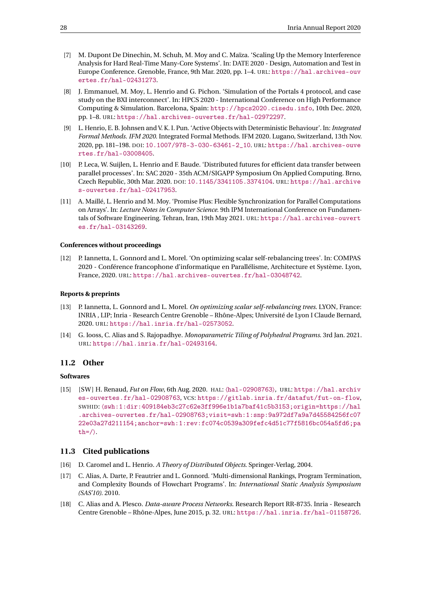- <span id="page-30-8"></span>[7] M. Dupont De Dinechin, M. Schuh, M. Moy and C. Maïza. 'Scaling Up the Memory Interference Analysis for Hard Real-Time Many-Core Systems'. In: DATE 2020 - Design, Automation and Test in Europe Conference. Grenoble, France, 9th Mar. 2020, pp. 1–4. URL: [https://hal.archives-ouv](https://hal.archives-ouvertes.fr/hal-02431273) [ertes.fr/hal-02431273](https://hal.archives-ouvertes.fr/hal-02431273).
- <span id="page-30-7"></span>[8] J. Emmanuel, M. Moy, L. Henrio and G. Pichon. 'Simulation of the Portals 4 protocol, and case study on the BXI interconnect'. In: HPCS 2020 - International Conference on High Performance Computing & Simulation. Barcelona, Spain: <http://hpcs2020.cisedu.info>, 10th Dec. 2020, pp. 1–8. URL: <https://hal.archives-ouvertes.fr/hal-02972297>.
- [9] L. Henrio, E. B. Johnsen and V. K. I. Pun. 'Active Objects with Deterministic Behaviour'. In: *Integrated Formal Methods. IFM 2020.* Integrated Formal Methods. IFM 2020. Lugano, Switzerland, 13th Nov. 2020, pp. 181–198. DOI: [10.1007/978-3-030-63461-2\\_10](https://doi.org/10.1007/978-3-030-63461-2_10). URL: [https://hal.archives-ouve](https://hal.archives-ouvertes.fr/hal-03008405) [rtes.fr/hal-03008405](https://hal.archives-ouvertes.fr/hal-03008405).
- [10] P. Leca, W. Suijlen, L. Henrio and F. Baude. 'Distributed futures for efficient data transfer between parallel processes'. In: SAC 2020 - 35th ACM/SIGAPP Symposium On Applied Computing. Brno, Czech Republic, 30th Mar. 2020. DOI: [10.1145/3341105.3374104](https://doi.org/10.1145/3341105.3374104). URL: [https://hal.archive](https://hal.archives-ouvertes.fr/hal-02417953) [s-ouvertes.fr/hal-02417953](https://hal.archives-ouvertes.fr/hal-02417953).
- <span id="page-30-5"></span>[11] A. Maillé, L. Henrio and M. Moy. 'Promise Plus: Flexible Synchronization for Parallel Computations on Arrays'. In: *Lecture Notes in Computer Science*. 9th IPM International Conference on Fundamentals of Software Engineering. Tehran, Iran, 19th May 2021. URL: [https://hal.archives-ouvert](https://hal.archives-ouvertes.fr/hal-03143269) [es.fr/hal-03143269](https://hal.archives-ouvertes.fr/hal-03143269).

#### **Conferences without proceedings**

<span id="page-30-6"></span>[12] P. Iannetta, L. Gonnord and L. Morel. 'On optimizing scalar self-rebalancing trees'. In: COMPAS 2020 - Conférence francophone d'informatique en Parallélisme, Architecture et Système. Lyon, France, 2020. URL: <https://hal.archives-ouvertes.fr/hal-03048742>.

#### **Reports & preprints**

- [13] P. Iannetta, L. Gonnord and L. Morel. *On optimizing scalar self-rebalancing trees*. LYON, France: INRIA , LIP; Inria - Research Centre Grenoble – Rhône-Alpes; Université de Lyon I Claude Bernard, 2020. URL: <https://hal.inria.fr/hal-02573052>.
- [14] G. Iooss, C. Alias and S. Rajopadhye. *Monoparametric Tiling of Polyhedral Programs*. 3rd Jan. 2021. URL: <https://hal.inria.fr/hal-02493164>.

#### <span id="page-30-0"></span>**11.2 Other**

#### **Softwares**

[15] [SW ] H. Renaud, *Fut on Flow*, 6th Aug. 2020. HAL: 〈[hal-02908763](https://hal.archives-ouvertes.fr/hal-02908763)〉, URL: [https://hal.archiv](https://hal.archives-ouvertes.fr/hal-02908763) [es-ouvertes.fr/hal-02908763](https://hal.archives-ouvertes.fr/hal-02908763), VCS: <https://gitlab.inria.fr/datafut/fut-on-flow>, SWHID: 〈[swh:1:dir:409184eb3c27c62e3ff996e1b1a7baf41c5b3153;origin=https://hal](http://archive.softwareheritage.org/swh:1:dir:409184eb3c27c62e3ff996e1b1a7baf41c5b3153;origin=https://hal.archives-ouvertes.fr/hal-02908763;visit=swh:1:snp:9a972df7a9a7d45584256fc0722e03a27d211154;anchor=swh:1:rev:fc074c0539a309fefc4d51c77f5816bc054a5fd6;path=/) [.archives-ouvertes.fr/hal-02908763;visit=swh:1:snp:9a972df7a9a7d45584256fc07](http://archive.softwareheritage.org/swh:1:dir:409184eb3c27c62e3ff996e1b1a7baf41c5b3153;origin=https://hal.archives-ouvertes.fr/hal-02908763;visit=swh:1:snp:9a972df7a9a7d45584256fc0722e03a27d211154;anchor=swh:1:rev:fc074c0539a309fefc4d51c77f5816bc054a5fd6;path=/) [22e03a27d211154;anchor=swh:1:rev:fc074c0539a309fefc4d51c77f5816bc054a5fd6;pa](http://archive.softwareheritage.org/swh:1:dir:409184eb3c27c62e3ff996e1b1a7baf41c5b3153;origin=https://hal.archives-ouvertes.fr/hal-02908763;visit=swh:1:snp:9a972df7a9a7d45584256fc0722e03a27d211154;anchor=swh:1:rev:fc074c0539a309fefc4d51c77f5816bc054a5fd6;path=/)  $th=\rangle$ .

#### <span id="page-30-1"></span>**11.3 Cited publications**

- <span id="page-30-2"></span>[16] D. Caromel and L. Henrio. *A Theory of Distributed Objects*. Springer-Verlag, 2004.
- <span id="page-30-4"></span>[17] C. Alias, A. Darte, P. Feautrier and L. Gonnord. 'Multi-dimensional Rankings, Program Termination, and Complexity Bounds of Flowchart Programs'. In: *International Static Analysis Symposium (SAS'10)*. 2010.
- <span id="page-30-3"></span>[18] C. Alias and A. Plesco. *Data-aware Process Networks*. Research Report RR-8735. Inria - Research Centre Grenoble – Rhône-Alpes, June 2015, p. 32. URL: <https://hal.inria.fr/hal-01158726>.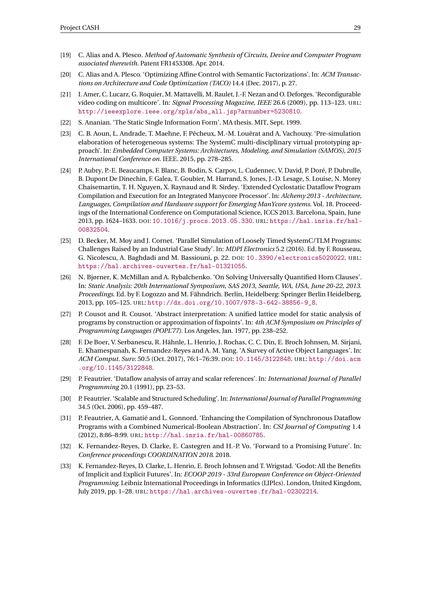- <span id="page-31-3"></span>[19] C. Alias and A. Plesco. *Method of Automatic Synthesis of Circuits, Device and Computer Program associated therewith*. Patent FR1453308. Apr. 2014.
- <span id="page-31-9"></span>[20] C. Alias and A. Plesco. 'Optimizing Affine Control with Semantic Factorizations'. In: *ACM Transactions on Architecture and Code Optimization (TACO)* 14.4 (Dec. 2017), p. 27.
- <span id="page-31-0"></span>[21] I. Amer, C. Lucarz, G. Roquier, M. Mattavelli, M. Raulet, J.-F. Nezan and O. Deforges. 'Reconfigurable video coding on multicore'. In: *Signal Processing Magazine, IEEE* 26.6 (2009), pp. 113–123. URL: [http://ieeexplore.ieee.org/xpls/abs\\_all.jsp?arnumber=5230810](http://ieeexplore.ieee.org/xpls/abs_all.jsp?arnumber=5230810).
- <span id="page-31-5"></span>[22] S. Ananian. 'The Static Single Information Form'. MA thesis. MIT, Sept. 1999.
- <span id="page-31-11"></span>[23] C. B. Aoun, L. Andrade, T. Maehne, F. Pêcheux, M.-M. Louërat and A. Vachouxy. 'Pre-simulation elaboration of heterogeneous systems: The SystemC multi-disciplinary virtual prototyping approach'. In: *Embedded Computer Systems: Architectures, Modeling, and Simulation (SAMOS), 2015 International Conference on*. IEEE. 2015, pp. 278–285.
- <span id="page-31-12"></span>[24] P. Aubry, P.-E. Beaucamps, F. Blanc, B. Bodin, S. Carpov, L. Cudennec, V. David, P. Doré, P. Dubrulle, B. Dupont De Dinechin, F. Galea, T. Goubier, M. Harrand, S. Jones, J.-D. Lesage, S. Louise, N. Morey Chaisemartin, T. H. Nguyen, X. Raynaud and R. Sirdey. 'Extended Cyclostatic Dataflow Program Compilation and Execution for an Integrated Manycore Processor'. In: *Alchemy 2013 - Architecture, Languages, Compilation and Hardware support for Emerging ManYcore systems*. Vol. 18. Proceedings of the International Conference on Computational Science, ICCS 2013. Barcelona, Spain, June 2013, pp. 1624–1633. DOI: [10.1016/j.procs.2013.05.330](https://doi.org/10.1016/j.procs.2013.05.330). URL: [https://hal.inria.fr/hal-](https://hal.inria.fr/hal-00832504)[00832504](https://hal.inria.fr/hal-00832504).
- <span id="page-31-10"></span>[25] D. Becker, M. Moy and J. Cornet. 'Parallel Simulation of Loosely Timed SystemC/TLM Programs: Challenges Raised by an Industrial Case Study'. In: *MDPI Electronics* 5.2 (2016). Ed. by F. Rousseau, G. Nicolescu, A. Baghdadi and M. Bassiouni, p. 22. DOI: [10.3390/electronics5020022](https://doi.org/10.3390/electronics5020022). URL: <https://hal.archives-ouvertes.fr/hal-01321055>.
- <span id="page-31-14"></span>[26] N. Bjørner, K. McMillan and A. Rybalchenko. 'On Solving Universally Quantified Horn Clauses'. In: *Static Analysis: 20th International Symposium, SAS 2013, Seattle, WA, USA, June 20-22, 2013. Proceedings*. Ed. by F. Logozzo and M. Fähndrich. Berlin, Heidelberg: Springer Berlin Heidelberg, 2013, pp. 105–125. URL: [http://dx.doi.org/10.1007/978-3-642-38856-9\\_8](http://dx.doi.org/10.1007/978-3-642-38856-9_8).
- <span id="page-31-6"></span>[27] P. Cousot and R. Cousot. 'Abstract interpretation: A unified lattice model for static analysis of programs by construction or approximation of fixpoints'. In: *4th ACM Symposium on Principles of Programming Languages (POPL'77)*. Los Angeles, Jan. 1977, pp. 238–252.
- <span id="page-31-1"></span>[28] F. De Boer, V. Serbanescu, R. Hähnle, L. Henrio, J. Rochas, C. C. Din, E. Broch Johnsen, M. Sirjani, E. Khamespanah, K. Fernandez-Reyes and A. M. Yang. 'A Survey of Active Object Languages'. In: *ACM Comput. Surv.* 50.5 (Oct. 2017), 76:1–76:39. DOI: [10.1145/3122848](https://doi.org/10.1145/3122848). URL: [http://doi.acm](http://doi.acm.org/10.1145/3122848) [.org/10.1145/3122848](http://doi.acm.org/10.1145/3122848).
- <span id="page-31-7"></span>[29] P. Feautrier. 'Dataflow analysis of array and scalar references'. In: *International Journal of Parallel Programming* 20.1 (1991), pp. 23–53.
- <span id="page-31-8"></span>[30] P. Feautrier. 'Scalable and Structured Scheduling'. In: *International Journal of Parallel Programming* 34.5 (Oct. 2006), pp. 459–487.
- <span id="page-31-4"></span>[31] P. Feautrier, A. Gamatié and L. Gonnord. 'Enhancing the Compilation of Synchronous Dataflow Programs with a Combined Numerical-Boolean Abstraction'. In: *CSI Journal of Computing* 1.4 (2012), 8:86–8:99. URL: <http://hal.inria.fr/hal-00860785>.
- <span id="page-31-2"></span>[32] K. Fernandez-Reyes, D. Clarke, E. Castegren and H.-P. Vo. 'Forward to a Promising Future'. In: *Conference proceedings COORDINATION 2018*. 2018.
- <span id="page-31-13"></span>[33] K. Fernandez-Reyes, D. Clarke, L. Henrio, E. Broch Johnsen and T. Wrigstad. 'Godot: All the Benefits of Implicit and Explicit Futures'. In: *ECOOP 2019 - 33rd European Conference on Object-Oriented Programming*. Leibniz International Proceedings in Informatics (LIPIcs). London, United Kingdom, July 2019, pp. 1–28. URL: <https://hal.archives-ouvertes.fr/hal-02302214>.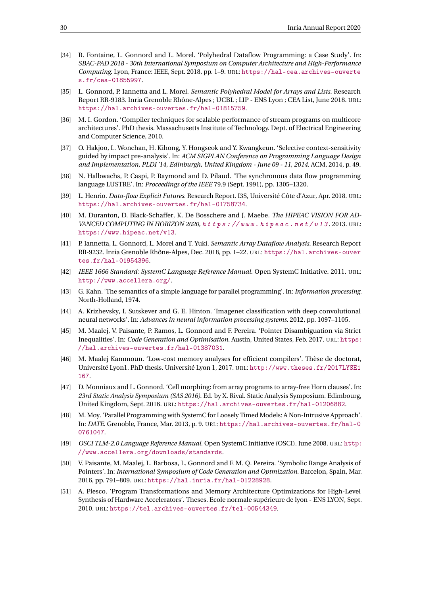- <span id="page-32-3"></span>[34] R. Fontaine, L. Gonnord and L. Morel. 'Polyhedral Dataflow Programming: a Case Study'. In: *SBAC-PAD 2018 - 30th International Symposium on Computer Architecture and High-Performance Computing*. Lyon, France: IEEE, Sept. 2018, pp. 1–9. URL: [https://hal-cea.archives-ouverte](https://hal-cea.archives-ouvertes.fr/cea-01855997) [s.fr/cea-01855997](https://hal-cea.archives-ouvertes.fr/cea-01855997).
- <span id="page-32-7"></span>[35] L. Gonnord, P. Iannetta and L. Morel. *Semantic Polyhedral Model for Arrays and Lists*. Research Report RR-9183. Inria Grenoble Rhône-Alpes ; UCBL ; LIP - ENS Lyon ; CEA List, June 2018. URL: <https://hal.archives-ouvertes.fr/hal-01815759>.
- <span id="page-32-10"></span>[36] M. I. Gordon. 'Compiler techniques for scalable performance of stream programs on multicore architectures'. PhD thesis. Massachusetts Institute of Technology. Dept. of Electrical Engineering and Computer Science, 2010.
- <span id="page-32-9"></span>[37] O. Hakjoo, L. Wonchan, H. Kihong, Y. Hongseok and Y. Kwangkeun. 'Selective context-sensitivity guided by impact pre-analysis'. In: *ACM SIGPLAN Conference on Programming Language Design and Implementation, PLDI '14, Edinburgh, United Kingdom - June 09 - 11, 2014*. ACM, 2014, p. 49.
- <span id="page-32-1"></span>[38] N. Halbwachs, P. Caspi, P. Raymond and D. Pilaud. 'The synchronous data flow programming language LUSTRE'. In: *Proceedings of the IEEE* 79.9 (Sept. 1991), pp. 1305–1320.
- <span id="page-32-4"></span>[39] L. Henrio. *Data-flow Explicit Futures*. Research Report. I3S, Université Côte d'Azur, Apr. 2018. URL: <https://hal.archives-ouvertes.fr/hal-01758734>.
- <span id="page-32-0"></span>[40] M. Duranton, D. Black-Schaffer, K. De Bosschere and J. Maebe. *The HIPEAC VISION FOR AD-VANCED COMPUTING IN HORIZON 2020, h t t p s : //www.hipeac.net/v13.2013.url:* <https://www.hipeac.net/v13>.
- <span id="page-32-17"></span>[41] P. Iannetta, L. Gonnord, L. Morel and T. Yuki. *Semantic Array Dataflow Analysis*. Research Report RR-9232. Inria Grenoble Rhône-Alpes, Dec. 2018, pp. 1–22. URL: [https://hal.archives-ouver](https://hal.archives-ouvertes.fr/hal-01954396) [tes.fr/hal-01954396](https://hal.archives-ouvertes.fr/hal-01954396).
- <span id="page-32-13"></span>[42] *IEEE 1666 Standard: SystemC Language Reference Manual*. Open SystemC Initiative. 2011. URL: <http://www.accellera.org/>.
- <span id="page-32-2"></span>[43] G. Kahn. 'The semantics of a simple language for parallel programming'. In: *Information processing*. North-Holland, 1974.
- <span id="page-32-15"></span>[44] A. Krizhevsky, I. Sutskever and G. E. Hinton. 'Imagenet classification with deep convolutional neural networks'. In: *Advances in neural information processing systems*. 2012, pp. 1097–1105.
- <span id="page-32-6"></span>[45] M. Maalej, V. Paisante, P. Ramos, L. Gonnord and F. Pereira. 'Pointer Disambiguation via Strict Inequalities'. In: *Code Generation and Optimisation*. Austin, United States, Feb. 2017. URL: [https:](https://hal.archives-ouvertes.fr/hal-01387031) [//hal.archives-ouvertes.fr/hal-01387031](https://hal.archives-ouvertes.fr/hal-01387031).
- <span id="page-32-8"></span>[46] M. Maalej Kammoun. 'Low-cost memory analyses for efficient compilers'. Thèse de doctorat, Université Lyon1. PhD thesis. Université Lyon 1, 2017. URL: [http://www.theses.fr/2017LYSE1](http://www.theses.fr/2017LYSE1167) [167](http://www.theses.fr/2017LYSE1167).
- <span id="page-32-16"></span>[47] D. Monniaux and L. Gonnord. 'Cell morphing: from array programs to array-free Horn clauses'. In: *23rd Static Analysis Symposium (SAS 2016)*. Ed. by X. Rival. Static Analysis Symposium. Edimbourg, United Kingdom, Sept. 2016. URL: <https://hal.archives-ouvertes.fr/hal-01206882>.
- <span id="page-32-14"></span>[48] M. Moy. 'Parallel Programming with SystemC for Loosely Timed Models: A Non-Intrusive Approach'. In: *DATE*. Grenoble, France, Mar. 2013, p. 9. URL: [https://hal.archives-ouvertes.fr/hal-0](https://hal.archives-ouvertes.fr/hal-00761047) [0761047](https://hal.archives-ouvertes.fr/hal-00761047).
- <span id="page-32-12"></span>[49] *OSCI TLM-2.0 Language Reference Manual*. Open SystemC Initiative (OSCI). June 2008. URL: [http:](http://www.accellera.org/downloads/standards) [//www.accellera.org/downloads/standards](http://www.accellera.org/downloads/standards).
- <span id="page-32-5"></span>[50] V. Paisante, M. Maalej, L. Barbosa, L. Gonnord and F. M. Q. Pereira. 'Symbolic Range Analysis of Pointers'. In: *International Symposium of Code Generation and Optmization*. Barcelon, Spain, Mar. 2016, pp. 791–809. URL: <https://hal.inria.fr/hal-01228928>.
- <span id="page-32-11"></span>[51] A. Plesco. 'Program Transformations and Memory Architecture Optimizations for High-Level Synthesis of Hardware Accelerators'. Theses. Ecole normale supérieure de lyon - ENS LYON, Sept. 2010. URL: <https://tel.archives-ouvertes.fr/tel-00544349>.